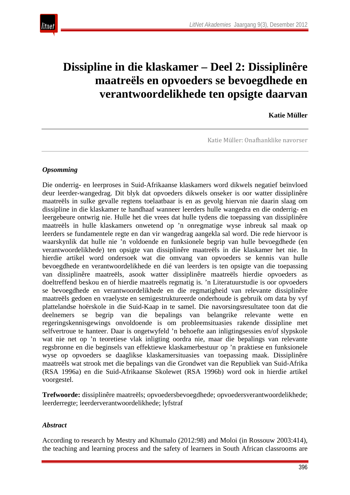

# **Dissipline in die klaskamer – Deel 2: Dissiplinêre maatreëls en opvoeders se bevoegdhede en verantwoordelikhede ten opsigte daarvan**

## **Katie Müller**

Katie Müller: Onafhanklike navorser

#### *Opsomming*

Die onderrig- en leerproses in Suid-Afrikaanse klaskamers word dikwels negatief beïnvloed deur leerder-wangedrag. Dit blyk dat opvoeders dikwels onseker is oor watter dissiplinêre maatreëls in sulke gevalle regtens toelaatbaar is en as gevolg hiervan nie daarin slaag om dissipline in die klaskamer te handhaaf wanneer leerders hulle wangedra en die onderrig- en leergebeure ontwrig nie. Hulle het die vrees dat hulle tydens die toepassing van dissiplinêre maatreëls in hulle klaskamers onwetend op 'n onregmatige wyse inbreuk sal maak op leerders se fundamentele regte en dan vir wangedrag aangekla sal word. Die rede hiervoor is waarskynlik dat hulle nie 'n voldoende en funksionele begrip van hulle bevoegdhede (en verantwoordelikhede) ten opsigte van dissiplinêre maatreëls in die klaskamer het nie. In hierdie artikel word ondersoek wat die omvang van opvoeders se kennis van hulle bevoegdhede en verantwoordelikhede en dié van leerders is ten opsigte van die toepassing van dissiplinêre maatreëls, asook watter dissiplinêre maatreëls hierdie opvoeders as doeltreffend beskou en of hierdie maatreëls regmatig is. 'n Literatuurstudie is oor opvoeders se bevoegdhede en verantwoordelikhede en die regmatigheid van relevante dissiplinêre maatreëls gedoen en vraelyste en semigestruktureerde onderhoude is gebruik om data by vyf plattelandse hoërskole in die Suid-Kaap in te samel. Die navorsingsresultatee toon dat die deelnemers se begrip van die bepalings van belangrike relevante wette en regeringskennisgewings onvoldoende is om probleemsituasies rakende dissipline met selfvertroue te hanteer. Daar is ongetwyfeld 'n behoefte aan inligtingsessies en/of slypskole wat nie net op 'n teoretiese vlak inligting oordra nie, maar die bepalings van relevante regsbronne en die beginsels van effektiewe klaskamerbestuur op 'n praktiese en funksionele wyse op opvoeders se daaglikse klaskamersituasies van toepassing maak. Dissiplinêre maatreëls wat strook met die bepalings van die Grondwet van die Republiek van Suid-Afrika (RSA 1996a) en die Suid-Afrikaanse Skolewet (RSA 1996b) word ook in hierdie artikel voorgestel.

**Trefwoorde:** dissiplinêre maatreëls; opvoedersbevoegdhede; opvoedersverantwoordelikhede; leerderregte; leerderverantwoordelikhede; lyfstraf

## *Abstract*

According to research by Mestry and Khumalo (2012:98) and Moloi (in Rossouw 2003:414), the teaching and learning process and the safety of learners in South African classrooms are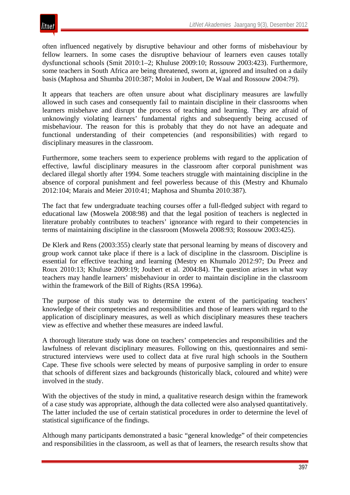

often influenced negatively by disruptive behaviour and other forms of misbehaviour by fellow learners. In some cases the disruptive behaviour of learners even causes totally dysfunctional schools (Smit 2010:1–2; Khuluse 2009:10; Rossouw 2003:423). Furthermore, some teachers in South Africa are being threatened, sworn at, ignored and insulted on a daily basis (Maphosa and Shumba 2010:387; Moloi in Joubert, De Waal and Rossouw 2004:79).

It appears that teachers are often unsure about what disciplinary measures are lawfully allowed in such cases and consequently fail to maintain discipline in their classrooms when learners misbehave and disrupt the process of teaching and learning. They are afraid of unknowingly violating learners' fundamental rights and subsequently being accused of misbehaviour. The reason for this is probably that they do not have an adequate and functional understanding of their competencies (and responsibilities) with regard to disciplinary measures in the classroom.

Furthermore, some teachers seem to experience problems with regard to the application of effective, lawful disciplinary measures in the classroom after corporal punishment was declared illegal shortly after 1994. Some teachers struggle with maintaining discipline in the absence of corporal punishment and feel powerless because of this (Mestry and Khumalo 2012:104; Marais and Meier 2010:41; Maphosa and Shumba 2010:387).

The fact that few undergraduate teaching courses offer a full-fledged subject with regard to educational law (Moswela 2008:98) and that the legal position of teachers is neglected in literature probably contributes to teachers' ignorance with regard to their competencies in terms of maintaining discipline in the classroom (Moswela 2008:93; Rossouw 2003:425).

De Klerk and Rens (2003:355) clearly state that personal learning by means of discovery and group work cannot take place if there is a lack of discipline in the classroom. Discipline is essential for effective teaching and learning (Mestry en Khumalo 2012:97; Du Preez and Roux 2010:13; Khuluse 2009:19; Joubert et al. 2004:84). The question arises in what way teachers may handle learners' misbehaviour in order to maintain discipline in the classroom within the framework of the Bill of Rights (RSA 1996a).

The purpose of this study was to determine the extent of the participating teachers' knowledge of their competencies and responsibilities and those of learners with regard to the application of disciplinary measures, as well as which disciplinary measures these teachers view as effective and whether these measures are indeed lawful.

A thorough literature study was done on teachers' competencies and responsibilities and the lawfulness of relevant disciplinary measures. Following on this, questionnaires and semistructured interviews were used to collect data at five rural high schools in the Southern Cape. These five schools were selected by means of purposive sampling in order to ensure that schools of different sizes and backgrounds (historically black, coloured and white) were involved in the study.

With the objectives of the study in mind, a qualitative research design within the framework of a case study was appropriate, although the data collected were also analysed quantitatively. The latter included the use of certain statistical procedures in order to determine the level of statistical significance of the findings.

Although many participants demonstrated a basic "general knowledge" of their competencies and responsibilities in the classroom, as well as that of learners, the research results show that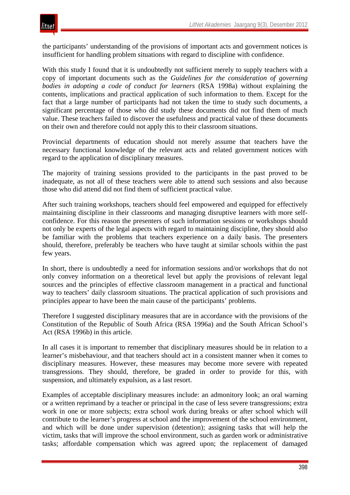the participants' understanding of the provisions of important acts and government notices is insufficient for handling problem situations with regard to discipline with confidence.

With this study I found that it is undoubtedly not sufficient merely to supply teachers with a copy of important documents such as the *Guidelines for the consideration of governing bodies in adopting a code of conduct for learners* (RSA 1998a) without explaining the contents, implications and practical application of such information to them. Except for the fact that a large number of participants had not taken the time to study such documents, a significant percentage of those who did study these documents did not find them of much value. These teachers failed to discover the usefulness and practical value of these documents on their own and therefore could not apply this to their classroom situations.

Provincial departments of education should not merely assume that teachers have the necessary functional knowledge of the relevant acts and related government notices with regard to the application of disciplinary measures.

The majority of training sessions provided to the participants in the past proved to be inadequate, as not all of these teachers were able to attend such sessions and also because those who did attend did not find them of sufficient practical value.

After such training workshops, teachers should feel empowered and equipped for effectively maintaining discipline in their classrooms and managing disruptive learners with more selfconfidence. For this reason the presenters of such information sessions or workshops should not only be experts of the legal aspects with regard to maintaining discipline, they should also be familiar with the problems that teachers experience on a daily basis. The presenters should, therefore, preferably be teachers who have taught at similar schools within the past few years.

In short, there is undoubtedly a need for information sessions and/or workshops that do not only convey information on a theoretical level but apply the provisions of relevant legal sources and the principles of effective classroom management in a practical and functional way to teachers' daily classroom situations. The practical application of such provisions and principles appear to have been the main cause of the participants' problems.

Therefore I suggested disciplinary measures that are in accordance with the provisions of the Constitution of the Republic of South Africa (RSA 1996a) and the South African School's Act (RSA 1996b) in this article.

In all cases it is important to remember that disciplinary measures should be in relation to a learner's misbehaviour, and that teachers should act in a consistent manner when it comes to disciplinary measures. However, these measures may become more severe with repeated transgressions. They should, therefore, be graded in order to provide for this, with suspension, and ultimately expulsion, as a last resort.

Examples of acceptable disciplinary measures include: an admonitory look; an oral warning or a written reprimand by a teacher or principal in the case of less severe transgressions; extra work in one or more subjects; extra school work during breaks or after school which will contribute to the learner's progress at school and the improvement of the school environment, and which will be done under supervision (detention); assigning tasks that will help the victim, tasks that will improve the school environment, such as garden work or administrative tasks; affordable compensation which was agreed upon; the replacement of damaged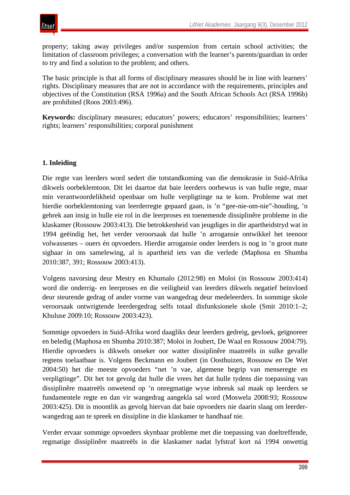

property; taking away privileges and/or suspension from certain school activities; the limitation of classroom privileges; a conversation with the learner's parents/guardian in order to try and find a solution to the problem; and others.

The basic principle is that all forms of disciplinary measures should be in line with learners' rights. Disciplinary measures that are not in accordance with the requirements, principles and objectives of the Constitution (RSA 1996a) and the South African Schools Act (RSA 1996b) are prohibited (Roos 2003:496).

**Keywords:** disciplinary measures; educators' powers; educators' responsibilities; learners' rights; learners' responsibilities; corporal punishment

# **1. Inleiding**

Die regte van leerders word sedert die totstandkoming van die demokrasie in Suid-Afrika dikwels oorbeklemtoon. Dit lei daartoe dat baie leerders oorbewus is van hulle regte, maar min verantwoordelikheid openbaar om hulle verpligtinge na te kom. Probleme wat met hierdie oorbeklemtoning van leerderregte gepaard gaan, is 'n "gee-nie-om-nie"-houding, 'n gebrek aan insig in hulle eie rol in die leerproses en toenemende dissiplinêre probleme in die klaskamer (Rossouw 2003:413). Die betrokkenheid van jeugdiges in die apartheidstryd wat in 1994 geëindig het, het verder veroorsaak dat hulle 'n arrogansie ontwikkel het teenoor volwassenes – ouers én opvoeders. Hierdie arrogansie onder leerders is nog in 'n groot mate sigbaar in ons samelewing, al is apartheid iets van die verlede (Maphosa en Shumba 2010:387, 391; Rossouw 2003:413).

Volgens navorsing deur Mestry en Khumalo (2012:98) en Moloi (in Rossouw 2003:414) word die onderrig- en leerproses en die veiligheid van leerders dikwels negatief beïnvloed deur steurende gedrag of ander vorme van wangedrag deur medeleerders. In sommige skole veroorsaak ontwrigtende leerdergedrag selfs totaal disfunksionele skole (Smit 2010:1–2; Khuluse 2009:10; Rossouw 2003:423).

Sommige opvoeders in Suid-Afrika word daagliks deur leerders gedreig, gevloek, geïgnoreer en beledig (Maphosa en Shumba 2010:387; Moloi in Joubert, De Waal en Rossouw 2004:79). Hierdie opvoeders is dikwels onseker oor watter dissiplinêre maatreëls in sulke gevalle regtens toelaatbaar is. Volgens Beckmann en Joubert (in Oosthuizen, Rossouw en De Wet 2004:50) het die meeste opvoeders "net 'n vae, algemene begrip van menseregte en verpligtinge". Dit het tot gevolg dat hulle die vrees het dat hulle tydens die toepassing van dissiplinêre maatreëls onwetend op 'n onregmatige wyse inbreuk sal maak op leerders se fundamentele regte en dan vir wangedrag aangekla sal word (Moswela 2008:93; Rossouw 2003:425). Dit is moontlik as gevolg hiervan dat baie opvoeders nie daarin slaag om leerderwangedrag aan te spreek en dissipline in die klaskamer te handhaaf nie.

Verder ervaar sommige opvoeders skynbaar probleme met die toepassing van doeltreffende, regmatige dissiplinêre maatreëls in die klaskamer nadat lyfstraf kort ná 1994 onwettig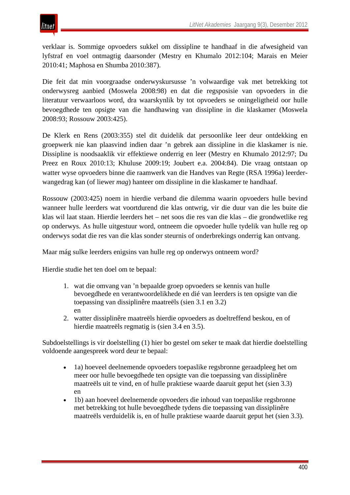verklaar is. Sommige opvoeders sukkel om dissipline te handhaaf in die afwesigheid van lyfstraf en voel ontmagtig daarsonder (Mestry en Khumalo 2012:104; Marais en Meier 2010:41; Maphosa en Shumba 2010:387).

Die feit dat min voorgraadse onderwyskursusse 'n volwaardige vak met betrekking tot onderwysreg aanbied (Moswela 2008:98) en dat die regsposisie van opvoeders in die literatuur verwaarloos word, dra waarskynlik by tot opvoeders se oningeligtheid oor hulle bevoegdhede ten opsigte van die handhawing van dissipline in die klaskamer (Moswela 2008:93; Rossouw 2003:425).

De Klerk en Rens (2003:355) stel dit duidelik dat persoonlike leer deur ontdekking en groepwerk nie kan plaasvind indien daar 'n gebrek aan dissipline in die klaskamer is nie. Dissipline is noodsaaklik vir effektiewe onderrig en leer (Mestry en Khumalo 2012:97; Du Preez en Roux 2010:13; Khuluse 2009:19; Joubert e.a. 2004:84). Die vraag ontstaan op watter wyse opvoeders binne die raamwerk van die Handves van Regte (RSA 1996a) leerderwangedrag kan (of liewer *mag*) hanteer om dissipline in die klaskamer te handhaaf.

Rossouw (2003:425) noem in hierdie verband die dilemma waarin opvoeders hulle bevind wanneer hulle leerders wat voortdurend die klas ontwrig, vir die duur van die les buite die klas wil laat staan. Hierdie leerders het – net soos die res van die klas – die grondwetlike reg op onderwys. As hulle uitgestuur word, ontneem die opvoeder hulle tydelik van hulle reg op onderwys sodat die res van die klas sonder steurnis of onderbrekings onderrig kan ontvang.

Maar mág sulke leerders enigsins van hulle reg op onderwys ontneem word?

Hierdie studie het ten doel om te bepaal:

- 1. wat die omvang van 'n bepaalde groep opvoeders se kennis van hulle bevoegdhede en verantwoordelikhede en dié van leerders is ten opsigte van die toepassing van dissiplinêre maatreëls (sien 3.1 en 3.2) en
- 2. watter dissiplinêre maatreëls hierdie opvoeders as doeltreffend beskou, en of hierdie maatreëls regmatig is (sien 3.4 en 3.5).

Subdoelstellings is vir doelstelling (1) hier bo gestel om seker te maak dat hierdie doelstelling voldoende aangespreek word deur te bepaal:

- 1a) hoeveel deelnemende opvoeders toepaslike regsbronne geraadpleeg het om meer oor hulle bevoegdhede ten opsigte van die toepassing van dissiplinêre maatreëls uit te vind, en of hulle praktiese waarde daaruit geput het (sien 3.3) en
- 1b) aan hoeveel deelnemende opvoeders die inhoud van toepaslike regsbronne met betrekking tot hulle bevoegdhede tydens die toepassing van dissiplinêre maatreëls verduidelik is, en of hulle praktiese waarde daaruit geput het (sien 3.3).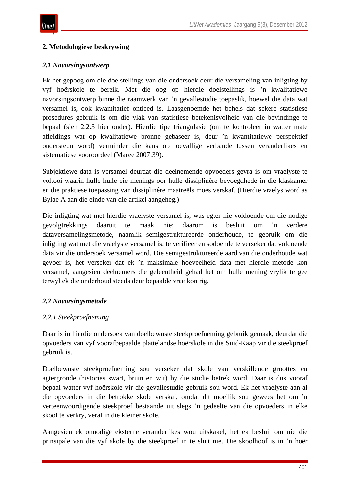# **2. Metodologiese beskrywing**

## *2.1 Navorsingsontwerp*

Ek het gepoog om die doelstellings van die ondersoek deur die versameling van inligting by vyf hoërskole te bereik. Met die oog op hierdie doelstellings is 'n kwalitatiewe navorsingsontwerp binne die raamwerk van 'n gevallestudie toepaslik, hoewel die data wat versamel is, ook kwantitatief ontleed is. Laasgenoemde het behels dat sekere statistiese prosedures gebruik is om die vlak van statistiese betekenisvolheid van die bevindinge te bepaal (sien 2.2.3 hier onder). Hierdie tipe triangulasie (om te kontroleer in watter mate afleidings wat op kwalitatiewe bronne gebaseer is, deur 'n kwantitatiewe perspektief ondersteun word) verminder die kans op toevallige verbande tussen veranderlikes en sistematiese vooroordeel (Maree 2007:39).

Subjektiewe data is versamel deurdat die deelnemende opvoeders gevra is om vraelyste te voltooi waarin hulle hulle eie menings oor hulle dissiplinêre bevoegdhede in die klaskamer en die praktiese toepassing van dissiplinêre maatreëls moes verskaf. (Hierdie vraelys word as Bylae A aan die einde van die artikel aangeheg.)

Die inligting wat met hierdie vraelyste versamel is, was egter nie voldoende om die nodige gevolgtrekkings daaruit te maak nie; daarom is besluit om 'n verdere dataversamelingsmetode, naamlik semigestruktureerde onderhoude, te gebruik om die inligting wat met die vraelyste versamel is, te verifieer en sodoende te verseker dat voldoende data vir die ondersoek versamel word. Die semigestruktureerde aard van die onderhoude wat gevoer is, het verseker dat ek 'n maksimale hoeveelheid data met hierdie metode kon versamel, aangesien deelnemers die geleentheid gehad het om hulle mening vrylik te gee terwyl ek die onderhoud steeds deur bepaalde vrae kon rig.

# *2.2 Navorsingsmetode*

## *2.2.1 Steekproefneming*

Daar is in hierdie ondersoek van doelbewuste steekproefneming gebruik gemaak, deurdat die opvoeders van vyf voorafbepaalde plattelandse hoërskole in die Suid-Kaap vir die steekproef gebruik is.

Doelbewuste steekproefneming sou verseker dat skole van verskillende groottes en agtergronde (histories swart, bruin en wit) by die studie betrek word. Daar is dus vooraf bepaal watter vyf hoërskole vir die gevallestudie gebruik sou word. Ek het vraelyste aan al die opvoeders in die betrokke skole verskaf, omdat dit moeilik sou gewees het om 'n verteenwoordigende steekproef bestaande uit slegs 'n gedeelte van die opvoeders in elke skool te verkry, veral in die kleiner skole.

Aangesien ek onnodige eksterne veranderlikes wou uitskakel, het ek besluit om nie die prinsipale van die vyf skole by die steekproef in te sluit nie. Die skoolhoof is in 'n hoër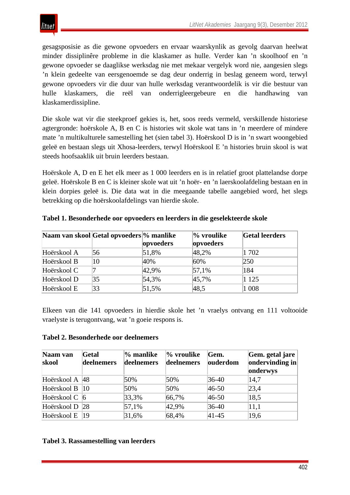gesagsposisie as die gewone opvoeders en ervaar waarskynlik as gevolg daarvan heelwat minder dissiplinêre probleme in die klaskamer as hulle. Verder kan 'n skoolhoof en 'n gewone opvoeder se daaglikse werksdag nie met mekaar vergelyk word nie, aangesien slegs 'n klein gedeelte van eersgenoemde se dag deur onderrig in beslag geneem word, terwyl gewone opvoeders vir die duur van hulle werksdag verantwoordelik is vir die bestuur van hulle klaskamers, die reël van onderrigleergebeure en die handhawing van klaskamerdissipline.

Die skole wat vir die steekproef gekies is, het, soos reeds vermeld, verskillende historiese agtergronde: hoërskole A, B en C is histories wit skole wat tans in 'n meerdere of mindere mate 'n multikulturele samestelling het (sien tabel 3). Hoërskool D is in 'n swart woongebied geleë en bestaan slegs uit Xhosa-leerders, terwyl Hoërskool E 'n histories bruin skool is wat steeds hoofsaaklik uit bruin leerders bestaan.

Hoërskole A, D en E het elk meer as 1 000 leerders en is in relatief groot plattelandse dorpe geleë. Hoërskole B en C is kleiner skole wat uit 'n hoër- en 'n laerskoolafdeling bestaan en in klein dorpies geleë is. Die data wat in die meegaande tabelle aangebied word, het slegs betrekking op die hoërskoolafdelings van hierdie skole.

|             | Naam van skool Getal opvoeders % manlike |           | $\%$ vroulike | <b>Getal leerders</b> |
|-------------|------------------------------------------|-----------|---------------|-----------------------|
|             |                                          | opvoeders | opvoeders     |                       |
| Hoërskool A | 56                                       | 51,8%     | 48,2%         | 1702                  |
| Hoërskool B | 10                                       | 40%       | 60%           | 250                   |
| Hoërskool C |                                          | 42,9%     | $ 57,1\%$     | 184                   |
| Hoërskool D | 35                                       | 54,3%     | 45,7%         | 1 1 2 5               |
| Hoërskool E | 33                                       | 51,5%     | 48,5          | 1 0 0 8               |

**Tabel 1. Besonderhede oor opvoeders en leerders in die geselekteerde skole**

Elkeen van die 141 opvoeders in hierdie skole het 'n vraelys ontvang en 111 voltooide vraelyste is terugontvang, wat 'n goeie respons is.

## **Tabel 2. Besonderhede oor deelnemers**

| Naam van<br>skool | Getal<br>deelnemers | % manlike<br>deelnemers | $\%$ vroulike<br>deelnemers | Gem.<br>ouderdom | Gem. getal jare<br>$ $ ondervinding in<br>onderwys |
|-------------------|---------------------|-------------------------|-----------------------------|------------------|----------------------------------------------------|
| Hoërskool A 48    |                     | 50%                     | 50%                         | $36-40$          | 14,7                                               |
| Hoërskool B       | 10                  | 50%                     | 50%                         | $ 46-50 $        | 23,4                                               |
| Hoërskool C   6   |                     | 33,3%                   | 66,7%                       | $ 46-50 $        | 18,5                                               |
| Hoërskool D       | <b>28</b>           | 57,1%                   | 42,9%                       | $ 36-40$         | 11,1                                               |
| Hoërskool E       | 19                  | 31,6%                   | 68,4%                       | $ 41 - 45 $      | 19,6                                               |

## **Tabel 3. Rassamestelling van leerders**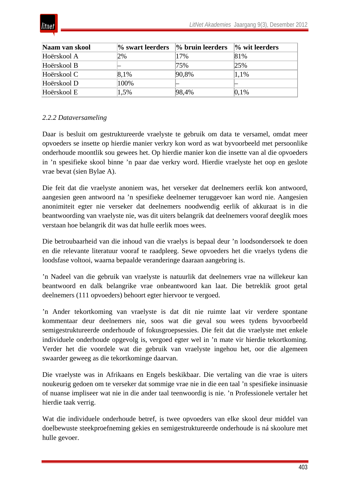

| Naam van skool | % swart leerders | $\%$ bruin leerders | $\%$ wit leerders |
|----------------|------------------|---------------------|-------------------|
| Hoërskool A    | 2%               | 17%                 | 81%               |
| Hoërskool B    |                  | 75%                 | 25%               |
| Hoërskool C    | 8,1%             | 90,8%               | 1.1%              |
| Hoërskool D    | 100%             |                     |                   |
| Hoërskool E    | 1,5%             | 98,4%               | 0,1%              |

# *2.2.2 Dataversameling*

Daar is besluit om gestruktureerde vraelyste te gebruik om data te versamel, omdat meer opvoeders se insette op hierdie manier verkry kon word as wat byvoorbeeld met persoonlike onderhoude moontlik sou gewees het. Op hierdie manier kon die insette van al die opvoeders in 'n spesifieke skool binne 'n paar dae verkry word. Hierdie vraelyste het oop en geslote vrae bevat (sien Bylae A).

Die feit dat die vraelyste anoniem was, het verseker dat deelnemers eerlik kon antwoord, aangesien geen antwoord na 'n spesifieke deelnemer teruggevoer kan word nie. Aangesien anonimiteit egter nie verseker dat deelnemers noodwendig eerlik of akkuraat is in die beantwoording van vraelyste nie, was dit uiters belangrik dat deelnemers vooraf deeglik moes verstaan hoe belangrik dit was dat hulle eerlik moes wees.

Die betroubaarheid van die inhoud van die vraelys is bepaal deur 'n loodsondersoek te doen en die relevante literatuur vooraf te raadpleeg. Sewe opvoeders het die vraelys tydens die loodsfase voltooi, waarna bepaalde veranderinge daaraan aangebring is.

'n Nadeel van die gebruik van vraelyste is natuurlik dat deelnemers vrae na willekeur kan beantwoord en dalk belangrike vrae onbeantwoord kan laat. Die betreklik groot getal deelnemers (111 opvoeders) behoort egter hiervoor te vergoed.

'n Ander tekortkoming van vraelyste is dat dit nie ruimte laat vir verdere spontane kommentaar deur deelnemers nie, soos wat die geval sou wees tydens byvoorbeeld semigestruktureerde onderhoude of fokusgroepsessies. Die feit dat die vraelyste met enkele individuele onderhoude opgevolg is, vergoed egter wel in 'n mate vir hierdie tekortkoming. Verder het die voordele wat die gebruik van vraelyste ingehou het, oor die algemeen swaarder geweeg as die tekortkominge daarvan.

Die vraelyste was in Afrikaans en Engels beskikbaar. Die vertaling van die vrae is uiters noukeurig gedoen om te verseker dat sommige vrae nie in die een taal 'n spesifieke insinuasie of nuanse impliseer wat nie in die ander taal teenwoordig is nie. 'n Professionele vertaler het hierdie taak verrig.

Wat die individuele onderhoude betref, is twee opvoeders van elke skool deur middel van doelbewuste steekproefneming gekies en semigestruktureerde onderhoude is ná skoolure met hulle gevoer.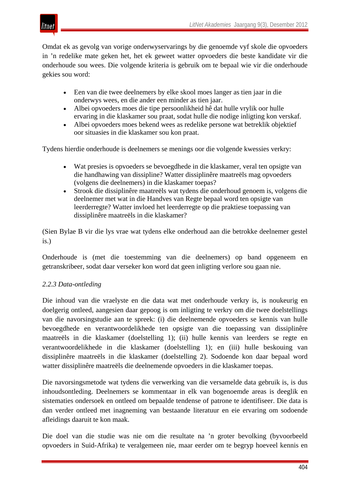

Omdat ek as gevolg van vorige onderwyservarings by die genoemde vyf skole die opvoeders in 'n redelike mate geken het, het ek geweet watter opvoeders die beste kandidate vir die onderhoude sou wees. Die volgende kriteria is gebruik om te bepaal wie vir die onderhoude gekies sou word:

- Een van die twee deelnemers by elke skool moes langer as tien jaar in die onderwys wees, en die ander een minder as tien jaar.
- Albei opvoeders moes die tipe persoonlikheid hê dat hulle vrylik oor hulle ervaring in die klaskamer sou praat, sodat hulle die nodige inligting kon verskaf.
- Albei opvoeders moes bekend wees as redelike persone wat betreklik objektief oor situasies in die klaskamer sou kon praat.

Tydens hierdie onderhoude is deelnemers se menings oor die volgende kwessies verkry:

- Wat presies is opvoeders se bevoegdhede in die klaskamer, veral ten opsigte van die handhawing van dissipline? Watter dissiplinêre maatreëls mag opvoeders (volgens die deelnemers) in die klaskamer toepas?
- Strook die dissiplinêre maatreëls wat tydens die onderhoud genoem is, volgens die deelnemer met wat in die Handves van Regte bepaal word ten opsigte van leerderregte? Watter invloed het leerderregte op die praktiese toepassing van dissiplinêre maatreëls in die klaskamer?

(Sien Bylae B vir die lys vrae wat tydens elke onderhoud aan die betrokke deelnemer gestel is.)

Onderhoude is (met die toestemming van die deelnemers) op band opgeneem en getranskribeer, sodat daar verseker kon word dat geen inligting verlore sou gaan nie.

# *2.2.3 Data-ontleding*

Die inhoud van die vraelyste en die data wat met onderhoude verkry is, is noukeurig en doelgerig ontleed, aangesien daar gepoog is om inligting te verkry om die twee doelstellings van die navorsingstudie aan te spreek: (i) die deelnemende opvoeders se kennis van hulle bevoegdhede en verantwoordelikhede ten opsigte van die toepassing van dissiplinêre maatreëls in die klaskamer (doelstelling 1); (ii) hulle kennis van leerders se regte en verantwoordelikhede in die klaskamer (doelstelling 1); en (iii) hulle beskouing van dissiplinêre maatreëls in die klaskamer (doelstelling 2). Sodoende kon daar bepaal word watter dissiplinêre maatreëls die deelnemende opvoeders in die klaskamer toepas.

Die navorsingsmetode wat tydens die verwerking van die versamelde data gebruik is, is dus inhoudsontleding. Deelnemers se kommentaar in elk van bogenoemde areas is deeglik en sistematies ondersoek en ontleed om bepaalde tendense of patrone te identifiseer. Die data is dan verder ontleed met inagneming van bestaande literatuur en eie ervaring om sodoende afleidings daaruit te kon maak.

Die doel van die studie was nie om die resultate na 'n groter bevolking (byvoorbeeld opvoeders in Suid-Afrika) te veralgemeen nie, maar eerder om te begryp hoeveel kennis en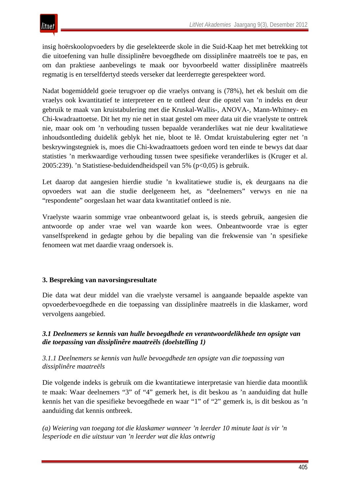

insig hoërskoolopvoeders by die geselekteerde skole in die Suid-Kaap het met betrekking tot die uitoefening van hulle dissiplinêre bevoegdhede om dissiplinêre maatreëls toe te pas, en om dan praktiese aanbevelings te maak oor byvoorbeeld watter dissiplinêre maatreëls regmatig is en terselfdertyd steeds verseker dat leerderregte gerespekteer word.

Nadat bogemiddeld goeie terugvoer op die vraelys ontvang is (78%), het ek besluit om die vraelys ook kwantitatief te interpreteer en te ontleed deur die opstel van 'n indeks en deur gebruik te maak van kruistabulering met die Kruskal-Wallis-, ANOVA-, Mann-Whitney- en Chi-kwadraattoetse. Dit het my nie net in staat gestel om meer data uit die vraelyste te onttrek nie, maar ook om 'n verhouding tussen bepaalde veranderlikes wat nie deur kwalitatiewe inhoudsontleding duidelik geblyk het nie, bloot te lê. Omdat kruistabulering egter net 'n beskrywingstegniek is, moes die Chi-kwadraattoets gedoen word ten einde te bewys dat daar statisties 'n merkwaardige verhouding tussen twee spesifieke veranderlikes is (Kruger et al. 2005:239). 'n Statistiese-beduidendheidspeil van 5% (p<0,05) is gebruik.

Let daarop dat aangesien hierdie studie 'n kwalitatiewe studie is, ek deurgaans na die opvoeders wat aan die studie deelgeneem het, as "deelnemers" verwys en nie na "respondente" oorgeslaan het waar data kwantitatief ontleed is nie.

Vraelyste waarin sommige vrae onbeantwoord gelaat is, is steeds gebruik, aangesien die antwoorde op ander vrae wel van waarde kon wees. Onbeantwoorde vrae is egter vanselfsprekend in gedagte gehou by die bepaling van die frekwensie van 'n spesifieke fenomeen wat met daardie vraag ondersoek is.

## **3. Bespreking van navorsingsresultate**

Die data wat deur middel van die vraelyste versamel is aangaande bepaalde aspekte van opvoederbevoegdhede en die toepassing van dissiplinêre maatreëls in die klaskamer, word vervolgens aangebied.

## *3.1 Deelnemers se kennis van hulle bevoegdhede en verantwoordelikhede ten opsigte van die toepassing van dissiplinêre maatreëls (doelstelling 1)*

## *3.1.1 Deelnemers se kennis van hulle bevoegdhede ten opsigte van die toepassing van dissiplinêre maatreëls*

Die volgende indeks is gebruik om die kwantitatiewe interpretasie van hierdie data moontlik te maak: Waar deelnemers "3" of "4" gemerk het, is dit beskou as 'n aanduiding dat hulle kennis het van die spesifieke bevoegdhede en waar "1" of "2" gemerk is, is dit beskou as 'n aanduiding dat kennis ontbreek.

*(a) Weiering van toegang tot die klaskamer wanneer 'n leerder 10 minute laat is vir 'n lesperiode en die uitstuur van 'n leerder wat die klas ontwrig*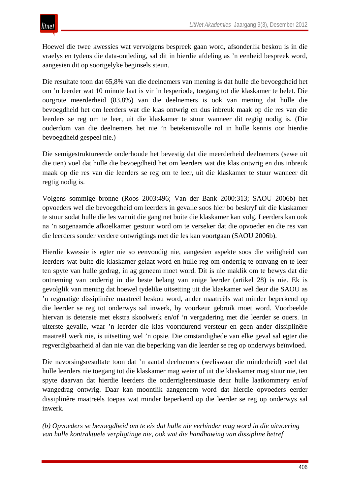Hoewel die twee kwessies wat vervolgens bespreek gaan word, afsonderlik beskou is in die vraelys en tydens die data-ontleding, sal dit in hierdie afdeling as 'n eenheid bespreek word, aangesien dit op soortgelyke beginsels steun.

Die resultate toon dat 65,8% van die deelnemers van mening is dat hulle die bevoegdheid het om 'n leerder wat 10 minute laat is vir 'n lesperiode, toegang tot die klaskamer te belet. Die oorgrote meerderheid (83,8%) van die deelnemers is ook van mening dat hulle die bevoegdheid het om leerders wat die klas ontwrig en dus inbreuk maak op die res van die leerders se reg om te leer, uit die klaskamer te stuur wanneer dit regtig nodig is. (Die ouderdom van die deelnemers het nie 'n betekenisvolle rol in hulle kennis oor hierdie bevoegdheid gespeel nie.)

Die semigestruktureerde onderhoude het bevestig dat die meerderheid deelnemers (sewe uit die tien) voel dat hulle die bevoegdheid het om leerders wat die klas ontwrig en dus inbreuk maak op die res van die leerders se reg om te leer, uit die klaskamer te stuur wanneer dit regtig nodig is.

Volgens sommige bronne (Roos 2003:496; Van der Bank 2000:313; SAOU 2006b) het opvoeders wel die bevoegdheid om leerders in gevalle soos hier bo beskryf uit die klaskamer te stuur sodat hulle die les vanuit die gang net buite die klaskamer kan volg. Leerders kan ook na 'n sogenaamde afkoelkamer gestuur word om te verseker dat die opvoeder en die res van die leerders sonder verdere ontwrigtings met die les kan voortgaan (SAOU 2006b).

Hierdie kwessie is egter nie so eenvoudig nie, aangesien aspekte soos die veiligheid van leerders wat buite die klaskamer gelaat word en hulle reg om onderrig te ontvang en te leer ten spyte van hulle gedrag, in ag geneem moet word. Dit is nie maklik om te bewys dat die ontneming van onderrig in die beste belang van enige leerder (artikel 28) is nie. Ek is gevolglik van mening dat hoewel tydelike uitsetting uit die klaskamer wel deur die SAOU as 'n regmatige dissiplinêre maatreël beskou word, ander maatreëls wat minder beperkend op die leerder se reg tot onderwys sal inwerk, by voorkeur gebruik moet word. Voorbeelde hiervan is detensie met ekstra skoolwerk en/of 'n vergadering met die leerder se ouers. In uiterste gevalle, waar 'n leerder die klas voortdurend versteur en geen ander dissiplinêre maatreël werk nie, is uitsetting wel 'n opsie. Die omstandighede van elke geval sal egter die regverdigbaarheid al dan nie van die beperking van die leerder se reg op onderwys beïnvloed.

Die navorsingsresultate toon dat 'n aantal deelnemers (weliswaar die minderheid) voel dat hulle leerders nie toegang tot die klaskamer mag weier of uit die klaskamer mag stuur nie, ten spyte daarvan dat hierdie leerders die onderrigleersituasie deur hulle laatkommery en/of wangedrag ontwrig. Daar kan moontlik aangeneem word dat hierdie opvoeders eerder dissiplinêre maatreëls toepas wat minder beperkend op die leerder se reg op onderwys sal inwerk.

*(b) Opvoeders se bevoegdheid om te eis dat hulle nie verhinder mag word in die uitvoering van hulle kontraktuele verpligtinge nie, ook wat die handhawing van dissipline betref*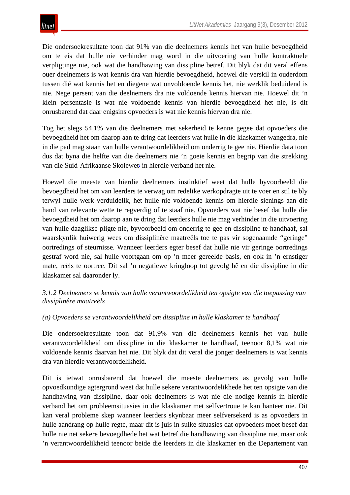Die ondersoekresultate toon dat 91% van die deelnemers kennis het van hulle bevoegdheid om te eis dat hulle nie verhinder mag word in die uitvoering van hulle kontraktuele verpligtinge nie, ook wat die handhawing van dissipline betref. Dit blyk dat dit veral effens ouer deelnemers is wat kennis dra van hierdie bevoegdheid, hoewel die verskil in ouderdom tussen dié wat kennis het en diegene wat onvoldoende kennis het, nie werklik beduidend is nie. Nege persent van die deelnemers dra nie voldoende kennis hiervan nie. Hoewel dit 'n klein persentasie is wat nie voldoende kennis van hierdie bevoegdheid het nie, is dit onrusbarend dat daar enigsins opvoeders is wat nie kennis hiervan dra nie.

Tog het slegs 54,1% van die deelnemers met sekerheid te kenne gegee dat opvoeders die bevoegdheid het om daarop aan te dring dat leerders wat hulle in die klaskamer wangedra, nie in die pad mag staan van hulle verantwoordelikheid om onderrig te gee nie. Hierdie data toon dus dat byna die helfte van die deelnemers nie 'n goeie kennis en begrip van die strekking van die Suid-Afrikaanse Skolewet<sup>2</sup> in hierdie verband het nie.

Hoewel die meeste van hierdie deelnemers instinktief weet dat hulle byvoorbeeld die bevoegdheid het om van leerders te verwag om redelike werkopdragte uit te voer en stil te bly terwyl hulle werk verduidelik, het hulle nie voldoende kennis om hierdie sienings aan die hand van relevante wette te regverdig of te staaf nie. Opvoeders wat nie besef dat hulle die bevoegdheid het om daarop aan te dring dat leerders hulle nie mag verhinder in die uitvoering van hulle daaglikse pligte nie, byvoorbeeld om onderrig te gee en dissipline te handhaaf, sal waarskynlik huiwerig wees om dissiplinêre maatreëls toe te pas vir sogenaamde "geringe" oortredings of steurnisse. Wanneer leerders egter besef dat hulle nie vir geringe oortredings gestraf word nie, sal hulle voortgaan om op 'n meer gereelde basis, en ook in 'n ernstiger mate, reëls te oortree. Dit sal 'n negatiewe kringloop tot gevolg hê en die dissipline in die klaskamer sal daaronder ly.

# *3.1.2 Deelnemers se kennis van hulle verantwoordelikheid ten opsigte van die toepassing van dissiplinêre maatreëls*

# *(a) Opvoeders se verantwoordelikheid om dissipline in hulle klaskamer te handhaaf*

Die ondersoekresultate toon dat 91,9% van die deelnemers kennis het van hulle verantwoordelikheid om dissipline in die klaskamer te handhaaf, teenoor 8,1% wat nie voldoende kennis daarvan het nie. Dit blyk dat dit veral die jonger deelnemers is wat kennis dra van hierdie verantwoordelikheid.

Dit is ietwat onrusbarend dat hoewel die meeste deelnemers as gevolg van hulle opvoedkundige agtergrond weet dat hulle sekere verantwoordelikhede het ten opsigte van die handhawing van dissipline, daar ook deelnemers is wat nie die nodige kennis in hierdie verband het om probleemsituasies in die klaskamer met selfvertroue te kan hanteer nie. Dit kan veral probleme skep wanneer leerders skynbaar meer selfversekerd is as opvoeders in hulle aandrang op hulle regte, maar dit is juis in sulke situasies dat opvoeders moet besef dat hulle nie net sekere bevoegdhede het wat betref die handhawing van dissipline nie, maar ook 'n verantwoordelikheid teenoor beide die leerders in die klaskamer en die Departement van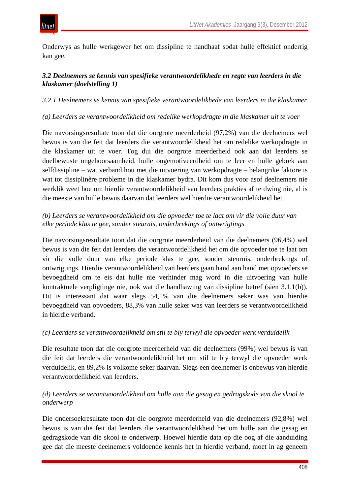

Onderwys as hulle werkgewer het om dissipline te handhaaf sodat hulle effektief onderrig kan gee.

# *3.2 Deelnemers se kennis van spesifieke verantwoordelikhede en regte van leerders in die klaskamer (doelstelling 1)*

*3.2.1 Deelnemers se kennis van spesifieke verantwoordelikhede van leerders in die klaskamer*

# *(a) Leerders se verantwoordelikheid om redelike werkopdragte in die klaskamer uit te voer*

Die navorsingsresultate toon dat die oorgrote meerderheid (97,2%) van die deelnemers wel bewus is van die feit dat leerders die verantwoordelikheid het om redelike werkopdragte in die klaskamer uit te voer. Tog dui die oorgrote meerderheid ook aan dat leerders se doelbewuste ongehoorsaamheid, hulle ongemotiveerdheid om te leer en hulle gebrek aan selfdissipline – wat verband hou met die uitvoering van werkopdragte – belangrike faktore is wat tot dissiplinêre probleme in die klaskamer bydra. Dit kom dus voor asof deelnemers nie werklik weet hoe om hierdie verantwoordelikheid van leerders prakties af te dwing nie, al is die meeste van hulle bewus daarvan dat leerders wel hierdie verantwoordelikheid het.

# *(b) Leerders se verantwoordelikheid om die opvoeder toe te laat om vir die volle duur van elke periode klas te gee, sonder steurnis, onderbrekings of ontwrigtings*

Die navorsingsresultate toon dat die oorgrote meerderheid van die deelnemers (96,4%) wel bewus is van die feit dat leerders die verantwoordelikheid het om die opvoeder toe te laat om vir die volle duur van elke periode klas te gee, sonder steurnis, onderbrekings of ontwrigtings. Hierdie verantwoordelikheid van leerders gaan hand aan hand met opvoeders se bevoegdheid om te eis dat hulle nie verhinder mag word in die uitvoering van hulle kontraktuele verpligtinge nie, ook wat die handhawing van dissipline betref (sien 3.1.1(b)). Dit is interessant dat waar slegs 54,1% van die deelnemers seker was van hierdie bevoegdheid van opvoeders, 88,3% van hulle seker was van leerders se verantwoordelikheid in hierdie verband.

## *(c) Leerders se verantwoordelikheid om stil te bly terwyl die opvoeder werk verduidelik*

Die resultate toon dat die oorgrote meerderheid van die deelnemers (99%) wel bewus is van die feit dat leerders die verantwoordelikheid het om stil te bly terwyl die opvoeder werk verduidelik, en 89,2% is volkome seker daarvan. Slegs een deelnemer is onbewus van hierdie verantwoordelikheid van leerders.

# *(d) Leerders se verantwoordelikheid om hulle aan die gesag en gedragskode van die skool te onderwerp*

Die ondersoekresultate toon dat die oorgrote meerderheid van die deelnemers (92,8%) wel bewus is van die feit dat leerders die verantwoordelikheid het om hulle aan die gesag en gedragskode van die skool te onderwerp. Hoewel hierdie data op die oog af die aanduiding gee dat die meeste deelnemers voldoende kennis het in hierdie verband, moet in ag geneem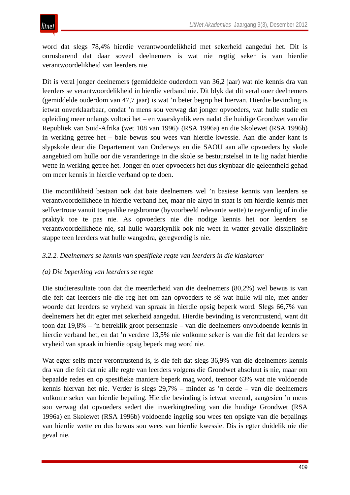word dat slegs 78,4% hierdie verantwoordelikheid met sekerheid aangedui het. Dit is onrusbarend dat daar soveel deelnemers is wat nie regtig seker is van hierdie verantwoordelikheid van leerders nie.

Dit is veral jonger deelnemers (gemiddelde ouderdom van 36,2 jaar) wat nie kennis dra van leerders se verantwoordelikheid in hierdie verband nie. Dit blyk dat dit veral ouer deelnemers (gemiddelde ouderdom van 47,7 jaar) is wat 'n beter begrip het hiervan. Hierdie bevinding is ietwat onverklaarbaar, omdat 'n mens sou verwag dat jonger opvoeders, wat hulle studie en opleiding meer onlangs voltooi het – en waarskynlik eers nadat die huidige Grondwet van die Republiek van Suid-Afrika (wet 108 van 1996)<sup>3</sup> (RSA 1996a) en die Skolewet (RSA 1996b) in werking getree het – baie bewus sou wees van hierdie kwessie. Aan die ander kant is slypskole deur die Departement van Onderwys en die SAOU aan alle opvoeders by skole aangebied om hulle oor die veranderinge in die skole se bestuurstelsel in te lig nadat hierdie wette in werking getree het. Jonger én ouer opvoeders het dus skynbaar die geleentheid gehad om meer kennis in hierdie verband op te doen.

Die moontlikheid bestaan ook dat baie deelnemers wel 'n basiese kennis van leerders se verantwoordelikhede in hierdie verband het, maar nie altyd in staat is om hierdie kennis met selfvertroue vanuit toepaslike regsbronne (byvoorbeeld relevante wette) te regverdig of in die praktyk toe te pas nie. As opvoeders nie die nodige kennis het oor leerders se verantwoordelikhede nie, sal hulle waarskynlik ook nie weet in watter gevalle dissiplinêre stappe teen leerders wat hulle wangedra, geregverdig is nie.

# *3.2.2. Deelnemers se kennis van spesifieke regte van leerders in die klaskamer*

## *(a) Die beperking van leerders se regte*

Die studieresultate toon dat die meerderheid van die deelnemers (80,2%) wel bewus is van die feit dat leerders nie die reg het om aan opvoeders te sê wat hulle wil nie, met ander woorde dat leerders se vryheid van spraak in hierdie opsig beperk word. Slegs 66,7% van deelnemers het dit egter met sekerheid aangedui. Hierdie bevinding is verontrustend, want dit toon dat 19,8% – 'n betreklik groot persentasie – van die deelnemers onvoldoende kennis in hierdie verband het, en dat 'n verdere 13,5% nie volkome seker is van die feit dat leerders se vryheid van spraak in hierdie opsig beperk mag word nie.

Wat egter selfs meer verontrustend is, is die feit dat slegs 36,9% van die deelnemers kennis dra van die feit dat nie alle regte van leerders volgens die Grondwet absoluut is nie, maar om bepaalde redes en op spesifieke maniere beperk mag word, teenoor 63% wat nie voldoende kennis hiervan het nie. Verder is slegs 29,7% – minder as 'n derde – van die deelnemers volkome seker van hierdie bepaling. Hierdie bevinding is ietwat vreemd, aangesien 'n mens sou verwag dat opvoeders sedert die inwerkingtreding van die huidige Grondwet (RSA 1996a) en Skolewet (RSA 1996b) voldoende ingelig sou wees ten opsigte van die bepalings van hierdie wette en dus bewus sou wees van hierdie kwessie. Dis is egter duidelik nie die geval nie.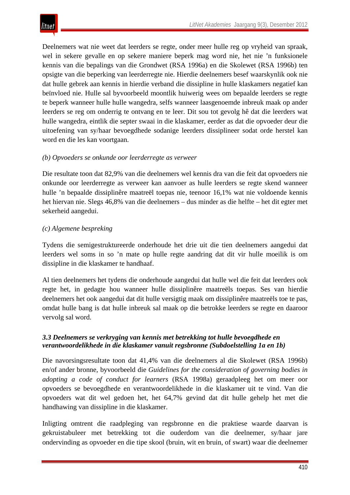Deelnemers wat nie weet dat leerders se regte, onder meer hulle reg op vryheid van spraak, wel in sekere gevalle en op sekere maniere beperk mag word nie, het nie 'n funksionele kennis van die bepalings van die Grondwet (RSA 1996a) en die Skolewet (RSA 1996b) ten opsigte van die beperking van leerderregte nie. Hierdie deelnemers besef waarskynlik ook nie dat hulle gebrek aan kennis in hierdie verband die dissipline in hulle klaskamers negatief kan beïnvloed nie. Hulle sal byvoorbeeld moontlik huiwerig wees om bepaalde leerders se regte te beperk wanneer hulle hulle wangedra, selfs wanneer laasgenoemde inbreuk maak op ander leerders se reg om onderrig te ontvang en te leer. Dit sou tot gevolg hê dat die leerders wat hulle wangedra, eintlik die septer swaai in die klaskamer, eerder as dat die opvoeder deur die uitoefening van sy/haar bevoegdhede sodanige leerders dissiplineer sodat orde herstel kan word en die les kan voortgaan.

# *(b) Opvoeders se onkunde oor leerderregte as verweer*

Die resultate toon dat 82,9% van die deelnemers wel kennis dra van die feit dat opvoeders nie onkunde oor leerderregte as verweer kan aanvoer as hulle leerders se regte skend wanneer hulle 'n bepaalde dissiplinêre maatreël toepas nie, teenoor 16,1% wat nie voldoende kennis het hiervan nie. Slegs 46,8% van die deelnemers – dus minder as die helfte – het dit egter met sekerheid aangedui.

## *(c) Algemene bespreking*

Tydens die semigestruktureerde onderhoude het drie uit die tien deelnemers aangedui dat leerders wel soms in so 'n mate op hulle regte aandring dat dit vir hulle moeilik is om dissipline in die klaskamer te handhaaf.

Al tien deelnemers het tydens die onderhoude aangedui dat hulle wel die feit dat leerders ook regte het, in gedagte hou wanneer hulle dissiplinêre maatreëls toepas. Ses van hierdie deelnemers het ook aangedui dat dit hulle versigtig maak om dissiplinêre maatreëls toe te pas, omdat hulle bang is dat hulle inbreuk sal maak op die betrokke leerders se regte en daaroor vervolg sal word.

# *3.3 Deelnemers se verkryging van kennis met betrekking tot hulle bevoegdhede en verantwoordelikhede in die klaskamer vanuit regsbronne (Subdoelstelling 1a en 1b)*

Die navorsingsresultate toon dat 41,4% van die deelnemers al die Skolewet (RSA 1996b) en/of ander bronne, byvoorbeeld die *Guidelines for the consideration of governing bodies in adopting a code of conduct for learners* (RSA 1998a) geraadpleeg het om meer oor opvoeders se bevoegdhede en verantwoordelikhede in die klaskamer uit te vind. Van die opvoeders wat dit wel gedoen het, het 64,7% gevind dat dit hulle gehelp het met die handhawing van dissipline in die klaskamer.

Inligting omtrent die raadpleging van regsbronne en die praktiese waarde daarvan is gekruistabuleer met betrekking tot die ouderdom van die deelnemer, sy/haar jare ondervinding as opvoeder en die tipe skool (bruin, wit en bruin, of swart) waar die deelnemer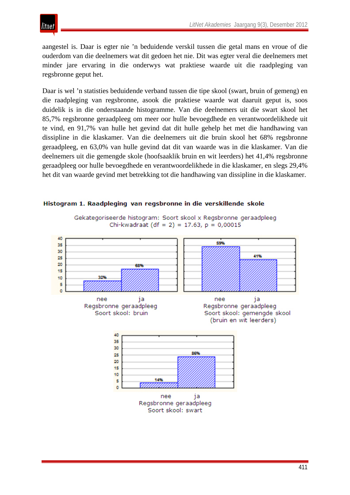aangestel is. Daar is egter nie 'n beduidende verskil tussen die getal mans en vroue of die ouderdom van die deelnemers wat dit gedoen het nie. Dit was egter veral die deelnemers met minder jare ervaring in die onderwys wat praktiese waarde uit die raadpleging van regsbronne geput het.

Daar is wel 'n statisties beduidende verband tussen die tipe skool (swart, bruin of gemeng) en die raadpleging van regsbronne, asook die praktiese waarde wat daaruit geput is, soos duidelik is in die onderstaande histogramme. Van die deelnemers uit die swart skool het 85,7% regsbronne geraadpleeg om meer oor hulle bevoegdhede en verantwoordelikhede uit te vind, en 91,7% van hulle het gevind dat dit hulle gehelp het met die handhawing van dissipline in die klaskamer. Van die deelnemers uit die bruin skool het 68% regsbronne geraadpleeg, en 63,0% van hulle gevind dat dit van waarde was in die klaskamer. Van die deelnemers uit die gemengde skole (hoofsaaklik bruin en wit leerders) het 41,4% regsbronne geraadpleeg oor hulle bevoegdhede en verantwoordelikhede in die klaskamer, en slegs 29,4% het dit van waarde gevind met betrekking tot die handhawing van dissipline in die klaskamer.



#### Histogram 1. Raadpleging van regsbronne in die verskillende skole

Gekategoriseerde histogram: Soort skool x Regsbronne geraadpleeg Chi-kwadraat (df = 2) = 17.63,  $p = 0,00015$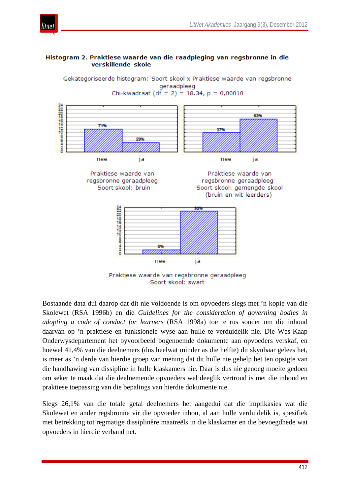

#### Histogram 2. Praktiese waarde van die raadpleging van regsbronne in die verskillende skole

Gekategoriseerde histogram: Soort skool x Praktiese waarde van regsbronne

itnet



Soort skool: swart

Bostaande data dui daarop dat dit nie voldoende is om opvoeders slegs met 'n kopie van die Skolewet (RSA 1996b) en die *Guidelines for the consideration of governing bodies in adopting a code of conduct for learners* (RSA 1998a) toe te rus sonder om die inhoud daarvan op 'n praktiese en funksionele wyse aan hulle te verduidelik nie. Die Wes-Kaap Onderwysdepartement het byvoorbeeld bogenoemde dokumente aan opvoeders verskaf, en hoewel 41,4% van die deelnemers (dus heelwat minder as die helfte) dit skynbaar gelees het, is meer as 'n derde van hierdie groep van mening dat dit hulle nie gehelp het ten opsigte van die handhawing van dissipline in hulle klaskamers nie. Daar is dus nie genoeg moeite gedoen om seker te maak dat die deelnemende opvoeders wel deeglik vertroud is met die inhoud en praktiese toepassing van die bepalings van hierdie dokumente nie.

Slegs 26,1% van die totale getal deelnemers het aangedui dat die implikasies wat die Skolewet en ander regsbronne vir die opvoeder inhou, al aan hulle verduidelik is, spesifiek met betrekking tot regmatige dissiplinêre maatreëls in die klaskamer en die bevoegdhede wat opvoeders in hierdie verband het.

412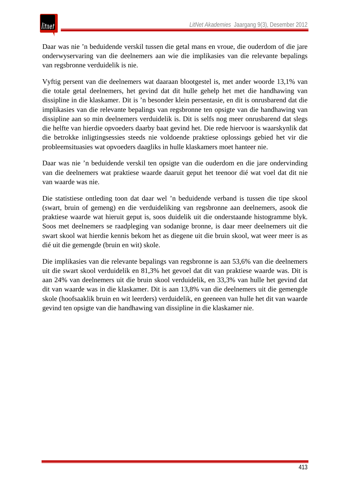Daar was nie 'n beduidende verskil tussen die getal mans en vroue, die ouderdom of die jare onderwyservaring van die deelnemers aan wie die implikasies van die relevante bepalings van regsbronne verduidelik is nie.

Vyftig persent van die deelnemers wat daaraan blootgestel is, met ander woorde 13,1% van die totale getal deelnemers, het gevind dat dit hulle gehelp het met die handhawing van dissipline in die klaskamer. Dit is 'n besonder klein persentasie, en dit is onrusbarend dat die implikasies van die relevante bepalings van regsbronne ten opsigte van die handhawing van dissipline aan so min deelnemers verduidelik is. Dit is selfs nog meer onrusbarend dat slegs die helfte van hierdie opvoeders daarby baat gevind het. Die rede hiervoor is waarskynlik dat die betrokke inligtingsessies steeds nie voldoende praktiese oplossings gebied het vir die probleemsituasies wat opvoeders daagliks in hulle klaskamers moet hanteer nie.

Daar was nie 'n beduidende verskil ten opsigte van die ouderdom en die jare ondervinding van die deelnemers wat praktiese waarde daaruit geput het teenoor dié wat voel dat dit nie van waarde was nie.

Die statistiese ontleding toon dat daar wel 'n beduidende verband is tussen die tipe skool (swart, bruin of gemeng) en die verduideliking van regsbronne aan deelnemers, asook die praktiese waarde wat hieruit geput is, soos duidelik uit die onderstaande histogramme blyk. Soos met deelnemers se raadpleging van sodanige bronne, is daar meer deelnemers uit die swart skool wat hierdie kennis bekom het as diegene uit die bruin skool, wat weer meer is as dié uit die gemengde (bruin en wit) skole.

Die implikasies van die relevante bepalings van regsbronne is aan 53,6% van die deelnemers uit die swart skool verduidelik en 81,3% het gevoel dat dit van praktiese waarde was. Dit is aan 24% van deelnemers uit die bruin skool verduidelik, en 33,3% van hulle het gevind dat dit van waarde was in die klaskamer. Dit is aan 13,8% van die deelnemers uit die gemengde skole (hoofsaaklik bruin en wit leerders) verduidelik, en geeneen van hulle het dit van waarde gevind ten opsigte van die handhawing van dissipline in die klaskamer nie.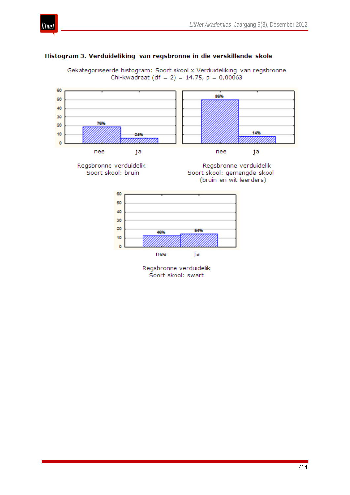

#### Histogram 3. Verduideliking van regsbronne in die verskillende skole

Gekategoriseerde histogram: Soort skool x Verduideliking van regsbronne Chi-kwadraat (df = 2) = 14.75,  $p = 0,00063$ 

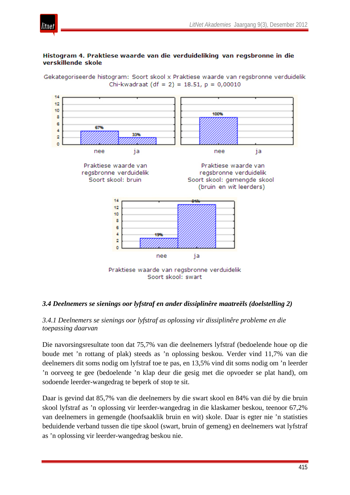

#### Histogram 4. Praktiese waarde van die verduideliking van regsbronne in die verskillende skole

tnei

Gekategoriseerde histogram: Soort skool x Praktiese waarde van regsbronne verduidelik Chi-kwadraat (df = 2) = 18.51,  $p = 0,00010$ 



#### *3.4 Deelnemers se sienings oor lyfstraf en ander dissiplinêre maatreëls (doelstelling 2)*

#### *3.4.1 Deelnemers se sienings oor lyfstraf as oplossing vir dissiplinêre probleme en die toepassing daarvan*

Die navorsingsresultate toon dat 75,7% van die deelnemers lyfstraf (bedoelende houe op die boude met 'n rottang of plak) steeds as 'n oplossing beskou. Verder vind 11,7% van die deelnemers dit soms nodig om lyfstraf toe te pas, en 13,5% vind dit soms nodig om 'n leerder 'n oorveeg te gee (bedoelende 'n klap deur die gesig met die opvoeder se plat hand), om sodoende leerder-wangedrag te beperk of stop te sit.

Daar is gevind dat 85,7% van die deelnemers by die swart skool en 84% van dié by die bruin skool lyfstraf as 'n oplossing vir leerder-wangedrag in die klaskamer beskou, teenoor 67,2% van deelnemers in gemengde (hoofsaaklik bruin en wit) skole. Daar is egter nie 'n statisties beduidende verband tussen die tipe skool (swart, bruin of gemeng) en deelnemers wat lyfstraf as 'n oplossing vir leerder-wangedrag beskou nie.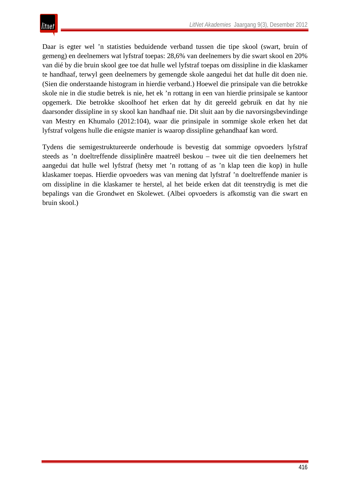Daar is egter wel 'n statisties beduidende verband tussen die tipe skool (swart, bruin of gemeng) en deelnemers wat lyfstraf toepas: 28,6% van deelnemers by die swart skool en 20% van dié by die bruin skool gee toe dat hulle wel lyfstraf toepas om dissipline in die klaskamer te handhaaf, terwyl geen deelnemers by gemengde skole aangedui het dat hulle dit doen nie. (Sien die onderstaande histogram in hierdie verband.) Hoewel die prinsipale van die betrokke skole nie in die studie betrek is nie, het ek 'n rottang in een van hierdie prinsipale se kantoor opgemerk. Die betrokke skoolhoof het erken dat hy dit gereeld gebruik en dat hy nie daarsonder dissipline in sy skool kan handhaaf nie. Dit sluit aan by die navorsingsbevindinge van Mestry en Khumalo (2012:104), waar die prinsipale in sommige skole erken het dat lyfstraf volgens hulle die enigste manier is waarop dissipline gehandhaaf kan word.

Tydens die semigestruktureerde onderhoude is bevestig dat sommige opvoeders lyfstraf steeds as 'n doeltreffende dissiplinêre maatreël beskou – twee uit die tien deelnemers het aangedui dat hulle wel lyfstraf (hetsy met 'n rottang of as 'n klap teen die kop) in hulle klaskamer toepas. Hierdie opvoeders was van mening dat lyfstraf 'n doeltreffende manier is om dissipline in die klaskamer te herstel, al het beide erken dat dit teenstrydig is met die bepalings van die Grondwet en Skolewet. (Albei opvoeders is afkomstig van die swart en bruin skool.)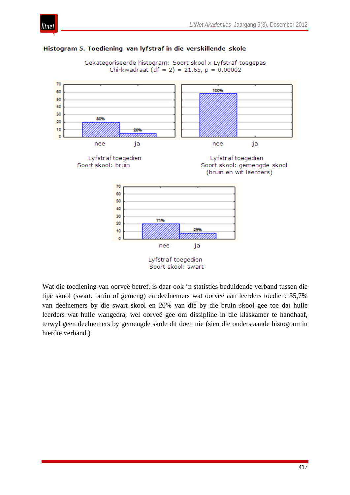

#### Histogram 5. Toediening van lyfstraf in die verskillende skole

Gekategoriseerde histogram: Soort skool x Lyfstraf toegepas Chi-kwadraat  $(df = 2) = 21.65$ ,  $p = 0,00002$ 



Wat die toediening van oorveë betref, is daar ook 'n statisties beduidende verband tussen die tipe skool (swart, bruin of gemeng) en deelnemers wat oorveë aan leerders toedien: 35,7% van deelnemers by die swart skool en 20% van dié by die bruin skool gee toe dat hulle leerders wat hulle wangedra, wel oorveë gee om dissipline in die klaskamer te handhaaf, terwyl geen deelnemers by gemengde skole dit doen nie (sien die onderstaande histogram in hierdie verband.)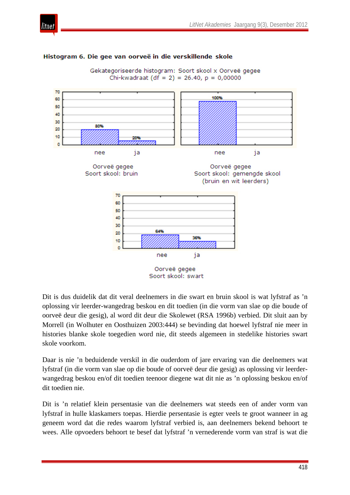

#### Histogram 6. Die gee van oorveë in die verskillende skole





Dit is dus duidelik dat dit veral deelnemers in die swart en bruin skool is wat lyfstraf as 'n oplossing vir leerder-wangedrag beskou en dit toedien (in die vorm van slae op die boude of oorveë deur die gesig), al word dit deur die Skolewet (RSA 1996b) verbied. Dit sluit aan by Morrell (in Wolhuter en Oosthuizen 2003:444) se bevinding dat hoewel lyfstraf nie meer in histories blanke skole toegedien word nie, dit steeds algemeen in stedelike histories swart skole voorkom.

Daar is nie 'n beduidende verskil in die ouderdom of jare ervaring van die deelnemers wat lyfstraf (in die vorm van slae op die boude of oorveë deur die gesig) as oplossing vir leerderwangedrag beskou en/of dit toedien teenoor diegene wat dit nie as 'n oplossing beskou en/of dit toedien nie.

Dit is 'n relatief klein persentasie van die deelnemers wat steeds een of ander vorm van lyfstraf in hulle klaskamers toepas. Hierdie persentasie is egter veels te groot wanneer in ag geneem word dat die redes waarom lyfstraf verbied is, aan deelnemers bekend behoort te wees. Alle opvoeders behoort te besef dat lyfstraf 'n vernederende vorm van straf is wat die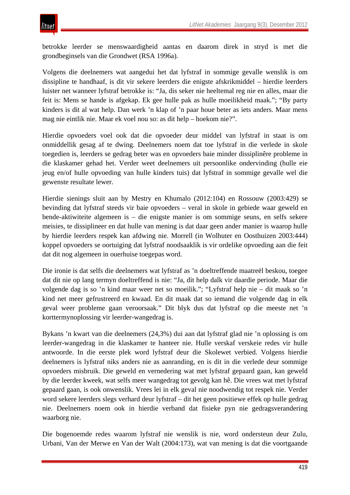betrokke leerder se menswaardigheid aantas en daarom direk in stryd is met die grondbeginsels van die Grondwet (RSA 1996a).

Volgens die deelnemers wat aangedui het dat lyfstraf in sommige gevalle wenslik is om dissipline te handhaaf, is dit vir sekere leerders die enigste afskrikmiddel – hierdie leerders luister net wanneer lyfstraf betrokke is: "Ja, dis seker nie heeltemal reg nie en alles, maar die feit is: Mens se hande is afgekap. Ek gee hulle pak as hulle moeilikheid maak."; "By party kinders is dit al wat help. Dan werk 'n klap of 'n paar houe beter as iets anders. Maar mens mag nie eintlik nie. Maar ek voel nou so: as dit help – hoekom nie?".

Hierdie opvoeders voel ook dat die opvoeder deur middel van lyfstraf in staat is om onmiddellik gesag af te dwing. Deelnemers noem dat toe lyfstraf in die verlede in skole toegedien is, leerders se gedrag beter was en opvoeders baie minder dissiplinêre probleme in die klaskamer gehad het. Verder weet deelnemers uit persoonlike ondervinding (hulle eie jeug en/of hulle opvoeding van hulle kinders tuis) dat lyfstraf in sommige gevalle wel die gewenste resultate lewer.

Hierdie sienings sluit aan by Mestry en Khumalo (2012:104) en Rossouw (2003:429) se bevinding dat lyfstraf steeds vir baie opvoeders – veral in skole in gebiede waar geweld en bende-aktiwiteite algemeen is – die enigste manier is om sommige seuns, en selfs sekere meisies, te dissiplineer en dat hulle van mening is dat daar geen ander manier is waarop hulle by hierdie leerders respek kan afdwing nie. Morrell (in Wolhuter en Oosthuizen 2003:444) koppel opvoeders se oortuiging dat lyfstraf noodsaaklik is vir ordelike opvoeding aan die feit dat dit nog algemeen in ouerhuise toegepas word.

Die ironie is dat selfs die deelnemers wat lyfstraf as 'n doeltreffende maatreël beskou, toegee dat dit nie op lang termyn doeltreffend is nie: "Ja, dit help dalk vir daardie periode. Maar die volgende dag is so 'n kind maar weer net so moeilik."; "Lyfstraf help nie – dit maak so 'n kind net meer gefrustreerd en kwaad. En dit maak dat so iemand die volgende dag in elk geval weer probleme gaan veroorsaak." Dit blyk dus dat lyfstraf op die meeste net 'n korttermynoplossing vir leerder-wangedrag is.

Bykans 'n kwart van die deelnemers (24,3%) dui aan dat lyfstraf glad nie 'n oplossing is om leerder-wangedrag in die klaskamer te hanteer nie. Hulle verskaf verskeie redes vir hulle antwoorde. In die eerste plek word lyfstraf deur die Skolewet verbied. Volgens hierdie deelnemers is lyfstraf niks anders nie as aanranding, en is dit in die verlede deur sommige opvoeders misbruik. Die geweld en vernedering wat met lyfstraf gepaard gaan, kan geweld by die leerder kweek, wat selfs meer wangedrag tot gevolg kan hê. Die vrees wat met lyfstraf gepaard gaan, is ook onwenslik. Vrees lei in elk geval nie noodwendig tot respek nie. Verder word sekere leerders slegs verhard deur lyfstraf – dit het geen positiewe effek op hulle gedrag nie. Deelnemers noem ook in hierdie verband dat fisieke pyn nie gedragsverandering waarborg nie.

Die bogenoemde redes waarom lyfstraf nie wenslik is nie, word ondersteun deur Zulu, Urbani, Van der Merwe en Van der Walt (2004:173), wat van mening is dat die voortgaande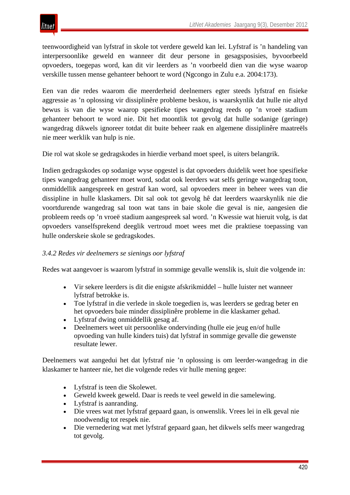teenwoordigheid van lyfstraf in skole tot verdere geweld kan lei. Lyfstraf is 'n handeling van interpersoonlike geweld en wanneer dit deur persone in gesagsposisies, byvoorbeeld opvoeders, toegepas word, kan dit vir leerders as 'n voorbeeld dien van die wyse waarop verskille tussen mense gehanteer behoort te word (Ngcongo in Zulu e.a. 2004:173).

Een van die redes waarom die meerderheid deelnemers egter steeds lyfstraf en fisieke aggressie as 'n oplossing vir dissiplinêre probleme beskou, is waarskynlik dat hulle nie altyd bewus is van die wyse waarop spesifieke tipes wangedrag reeds op 'n vroeë stadium gehanteer behoort te word nie. Dit het moontlik tot gevolg dat hulle sodanige (geringe) wangedrag dikwels ignoreer totdat dit buite beheer raak en algemene dissiplinêre maatreëls nie meer werklik van hulp is nie.

Die rol wat skole se gedragskodes in hierdie verband moet speel, is uiters belangrik.

Indien gedragskodes op sodanige wyse opgestel is dat opvoeders duidelik weet hoe spesifieke tipes wangedrag gehanteer moet word, sodat ook leerders wat selfs geringe wangedrag toon, onmiddellik aangespreek en gestraf kan word, sal opvoeders meer in beheer wees van die dissipline in hulle klaskamers. Dit sal ook tot gevolg hê dat leerders waarskynlik nie die voortdurende wangedrag sal toon wat tans in baie skole die geval is nie, aangesien die probleem reeds op 'n vroeë stadium aangespreek sal word. 'n Kwessie wat hieruit volg, is dat opvoeders vanselfsprekend deeglik vertroud moet wees met die praktiese toepassing van hulle onderskeie skole se gedragskodes.

## *3.4.2 Redes vir deelnemers se sienings oor lyfstraf*

Redes wat aangevoer is waarom lyfstraf in sommige gevalle wenslik is, sluit die volgende in:

- Vir sekere leerders is dit die enigste afskrikmiddel hulle luister net wanneer lyfstraf betrokke is.
- Toe lyfstraf in die verlede in skole toegedien is, was leerders se gedrag beter en het opvoeders baie minder dissiplinêre probleme in die klaskamer gehad.
- Lyfstraf dwing onmiddellik gesag af.
- Deelnemers weet uit persoonlike ondervinding (hulle eie jeug en/of hulle opvoeding van hulle kinders tuis) dat lyfstraf in sommige gevalle die gewenste resultate lewer.

Deelnemers wat aangedui het dat lyfstraf nie 'n oplossing is om leerder-wangedrag in die klaskamer te hanteer nie, het die volgende redes vir hulle mening gegee:

- Lyfstraf is teen die Skolewet.
- Geweld kweek geweld. Daar is reeds te veel geweld in die samelewing.
- Lyfstraf is aanranding.
- Die vrees wat met lyfstraf gepaard gaan, is onwenslik. Vrees lei in elk geval nie noodwendig tot respek nie.
- Die vernedering wat met lyfstraf gepaard gaan, het dikwels selfs meer wangedrag tot gevolg.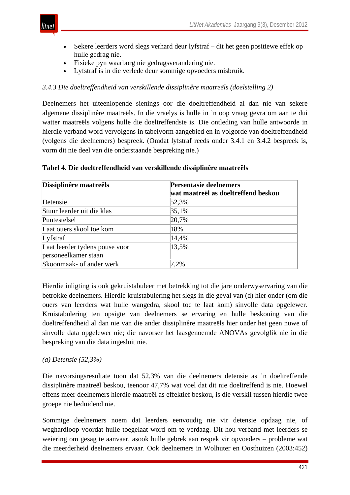

- Sekere leerders word slegs verhard deur lyfstraf dit het geen positiewe effek op hulle gedrag nie.
- Fisieke pyn waarborg nie gedragsverandering nie.
- Lyfstraf is in die verlede deur sommige opvoeders misbruik.

# *3.4.3 Die doeltreffendheid van verskillende dissiplinêre maatreëls (doelstelling 2)*

Deelnemers het uiteenlopende sienings oor die doeltreffendheid al dan nie van sekere algemene dissiplinêre maatreëls. In die vraelys is hulle in 'n oop vraag gevra om aan te dui watter maatreëls volgens hulle die doeltreffendste is. Die ontleding van hulle antwoorde in hierdie verband word vervolgens in tabelvorm aangebied en in volgorde van doeltreffendheid (volgens die deelnemers) bespreek. (Omdat lyfstraf reeds onder 3.4.1 en 3.4.2 bespreek is, vorm dit nie deel van die onderstaande bespreking nie.)

| Dissiplinêre maatreëls         | Persentasie deelnemers              |  |  |
|--------------------------------|-------------------------------------|--|--|
|                                | wat maatreël as doeltreffend beskou |  |  |
| Detensie                       | 52,3%                               |  |  |
| Stuur leerder uit die klas     | 35,1%                               |  |  |
| Puntestelsel                   | 20,7%                               |  |  |
| Laat ouers skool toe kom       | 18%                                 |  |  |
| Lyfstraf                       | 14,4%                               |  |  |
| Laat leerder tydens pouse voor | 13,5%                               |  |  |
| personeelkamer staan           |                                     |  |  |
| Skoonmaak- of ander werk       | 7,2%                                |  |  |

## **Tabel 4. Die doeltreffendheid van verskillende dissiplinêre maatreëls**

Hierdie inligting is ook gekruistabuleer met betrekking tot die jare onderwyservaring van die betrokke deelnemers. Hierdie kruistabulering het slegs in die geval van (d) hier onder (om die ouers van leerders wat hulle wangedra, skool toe te laat kom) sinvolle data opgelewer. Kruistabulering ten opsigte van deelnemers se ervaring en hulle beskouing van die doeltreffendheid al dan nie van die ander dissiplinêre maatreëls hier onder het geen nuwe of sinvolle data opgelewer nie; die navorser het laasgenoemde ANOVAs gevolglik nie in die bespreking van die data ingesluit nie.

# *(a) Detensie (52,3%)*

Die navorsingsresultate toon dat 52,3% van die deelnemers detensie as 'n doeltreffende dissiplinêre maatreël beskou, teenoor 47,7% wat voel dat dit nie doeltreffend is nie. Hoewel effens meer deelnemers hierdie maatreël as effektief beskou, is die verskil tussen hierdie twee groepe nie beduidend nie.

Sommige deelnemers noem dat leerders eenvoudig nie vir detensie opdaag nie, of weghardloop voordat hulle toegelaat word om te verdaag. Dit hou verband met leerders se weiering om gesag te aanvaar, asook hulle gebrek aan respek vir opvoeders – probleme wat die meerderheid deelnemers ervaar. Ook deelnemers in Wolhuter en Oosthuizen (2003:452)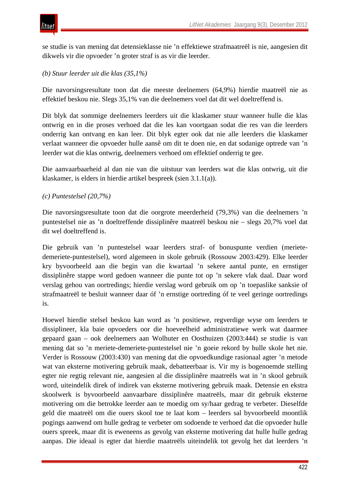se studie is van mening dat detensieklasse nie 'n effektiewe strafmaatreël is nie, aangesien dit dikwels vir die opvoeder 'n groter straf is as vir die leerder.

# *(b) Stuur leerder uit die klas (35,1%)*

Die navorsingsresultate toon dat die meeste deelnemers (64,9%) hierdie maatreël nie as effektief beskou nie. Slegs 35,1% van die deelnemers voel dat dit wel doeltreffend is.

Dit blyk dat sommige deelnemers leerders uit die klaskamer stuur wanneer hulle die klas ontwrig en in die proses verhoed dat die les kan voortgaan sodat die res van die leerders onderrig kan ontvang en kan leer. Dit blyk egter ook dat nie alle leerders die klaskamer verlaat wanneer die opvoeder hulle aansê om dit te doen nie, en dat sodanige optrede van 'n leerder wat die klas ontwrig, deelnemers verhoed om effektief onderrig te gee.

Die aanvaarbaarheid al dan nie van die uitstuur van leerders wat die klas ontwrig, uit die klaskamer, is elders in hierdie artikel bespreek (sien 3.1.1(a)).

## *(c) Puntestelsel (20,7%)*

Die navorsingsresultate toon dat die oorgrote meerderheid (79,3%) van die deelnemers 'n puntestelsel nie as 'n doeltreffende dissiplinêre maatreël beskou nie – slegs 20,7% voel dat dit wel doeltreffend is.

Die gebruik van 'n puntestelsel waar leerders straf- of bonuspunte verdien (merietedemeriete-puntestelsel), word algemeen in skole gebruik (Rossouw 2003:429). Elke leerder kry byvoorbeeld aan die begin van die kwartaal 'n sekere aantal punte, en ernstiger dissiplinêre stappe word gedoen wanneer die punte tot op 'n sekere vlak daal. Daar word verslag gehou van oortredings; hierdie verslag word gebruik om op 'n toepaslike sanksie of strafmaatreël te besluit wanneer daar óf 'n ernstige oortreding óf te veel geringe oortredings is.

Hoewel hierdie stelsel beskou kan word as 'n positiewe, regverdige wyse om leerders te dissiplineer, kla baie opvoeders oor die hoeveelheid administratiewe werk wat daarmee gepaard gaan – ook deelnemers aan Wolhuter en Oosthuizen (2003:444) se studie is van mening dat so 'n meriete-demeriete-puntestelsel nie 'n goeie rekord by hulle skole het nie. Verder is Rossouw (2003:430) van mening dat die opvoedkundige rasionaal agter 'n metode wat van eksterne motivering gebruik maak, debatteerbaar is. Vir my is bogenoemde stelling egter nie regtig relevant nie, aangesien al die dissiplinêre maatreëls wat in 'n skool gebruik word, uiteindelik direk of indirek van eksterne motivering gebruik maak. Detensie en ekstra skoolwerk is byvoorbeeld aanvaarbare dissiplinêre maatreëls, maar dit gebruik eksterne motivering om die betrokke leerder aan te moedig om sy/haar gedrag te verbeter. Dieselfde geld die maatreël om die ouers skool toe te laat kom – leerders sal byvoorbeeld moontlik pogings aanwend om hulle gedrag te verbeter om sodoende te verhoed dat die opvoeder hulle ouers spreek, maar dit is eweneens as gevolg van eksterne motivering dat hulle hulle gedrag aanpas. Die ideaal is egter dat hierdie maatreëls uiteindelik tot gevolg het dat leerders 'n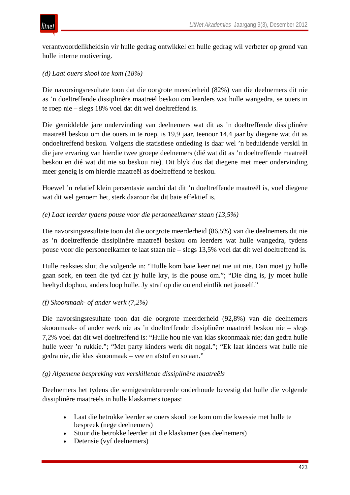

verantwoordelikheidsin vir hulle gedrag ontwikkel en hulle gedrag wil verbeter op grond van hulle interne motivering.

# *(d) Laat ouers skool toe kom (18%)*

Die navorsingsresultate toon dat die oorgrote meerderheid (82%) van die deelnemers dit nie as 'n doeltreffende dissiplinêre maatreël beskou om leerders wat hulle wangedra, se ouers in te roep nie – slegs 18% voel dat dit wel doeltreffend is.

Die gemiddelde jare ondervinding van deelnemers wat dit as 'n doeltreffende dissiplinêre maatreël beskou om die ouers in te roep, is 19,9 jaar, teenoor 14,4 jaar by diegene wat dit as ondoeltreffend beskou. Volgens die statistiese ontleding is daar wel 'n beduidende verskil in die jare ervaring van hierdie twee groepe deelnemers (dié wat dit as 'n doeltreffende maatreël beskou en dié wat dit nie so beskou nie). Dit blyk dus dat diegene met meer ondervinding meer geneig is om hierdie maatreël as doeltreffend te beskou.

Hoewel 'n relatief klein persentasie aandui dat dit 'n doeltreffende maatreël is, voel diegene wat dit wel genoem het, sterk daaroor dat dit baie effektief is.

## *(e) Laat leerder tydens pouse voor die personeelkamer staan (13,5%)*

Die navorsingsresultate toon dat die oorgrote meerderheid (86,5%) van die deelnemers dit nie as 'n doeltreffende dissiplinêre maatreël beskou om leerders wat hulle wangedra, tydens pouse voor die personeelkamer te laat staan nie – slegs 13,5% voel dat dit wel doeltreffend is.

Hulle reaksies sluit die volgende in: "Hulle kom baie keer net nie uit nie. Dan moet jy hulle gaan soek, en teen die tyd dat jy hulle kry, is die pouse om."; "Die ding is, jy moet hulle heeltyd dophou, anders loop hulle. Jy straf op die ou end eintlik net jouself."

## *(f) Skoonmaak- of ander werk (7,2%)*

Die navorsingsresultate toon dat die oorgrote meerderheid (92,8%) van die deelnemers skoonmaak- of ander werk nie as 'n doeltreffende dissiplinêre maatreël beskou nie – slegs 7,2% voel dat dit wel doeltreffend is: "Hulle hou nie van klas skoonmaak nie; dan gedra hulle hulle weer 'n rukkie."; "Met party kinders werk dit nogal."; "Ek laat kinders wat hulle nie gedra nie, die klas skoonmaak – vee en afstof en so aan."

## *(g) Algemene bespreking van verskillende dissiplinêre maatreëls*

Deelnemers het tydens die semigestruktureerde onderhoude bevestig dat hulle die volgende dissiplinêre maatreëls in hulle klaskamers toepas:

- Laat die betrokke leerder se ouers skool toe kom om die kwessie met hulle te bespreek (nege deelnemers)
- Stuur die betrokke leerder uit die klaskamer (ses deelnemers)
- Detensie (vyf deelnemers)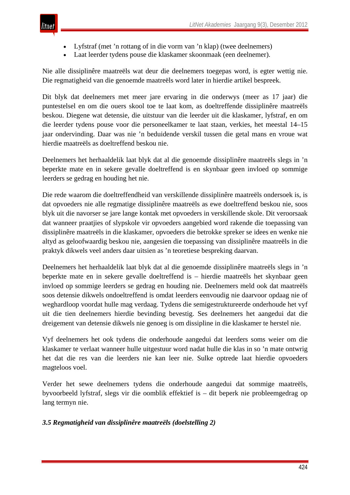

- Lyfstraf (met 'n rottang of in die vorm van 'n klap) (twee deelnemers)
- Laat leerder tydens pouse die klaskamer skoonmaak (een deelnemer).

Nie alle dissiplinêre maatreëls wat deur die deelnemers toegepas word, is egter wettig nie. Die regmatigheid van die genoemde maatreëls word later in hierdie artikel bespreek.

Dit blyk dat deelnemers met meer jare ervaring in die onderwys (meer as 17 jaar) die puntestelsel en om die ouers skool toe te laat kom, as doeltreffende dissiplinêre maatreëls beskou. Diegene wat detensie, die uitstuur van die leerder uit die klaskamer, lyfstraf, en om die leerder tydens pouse voor die personeelkamer te laat staan, verkies, het meestal 14–15 jaar ondervinding. Daar was nie 'n beduidende verskil tussen die getal mans en vroue wat hierdie maatreëls as doeltreffend beskou nie.

Deelnemers het herhaaldelik laat blyk dat al die genoemde dissiplinêre maatreëls slegs in 'n beperkte mate en in sekere gevalle doeltreffend is en skynbaar geen invloed op sommige leerders se gedrag en houding het nie.

Die rede waarom die doeltreffendheid van verskillende dissiplinêre maatreëls ondersoek is, is dat opvoeders nie alle regmatige dissiplinêre maatreëls as ewe doeltreffend beskou nie, soos blyk uit die navorser se jare lange kontak met opvoeders in verskillende skole. Dit veroorsaak dat wanneer praatjies of slypskole vir opvoeders aangebied word rakende die toepassing van dissiplinêre maatreëls in die klaskamer, opvoeders die betrokke spreker se idees en wenke nie altyd as geloofwaardig beskou nie, aangesien die toepassing van dissiplinêre maatreëls in die praktyk dikwels veel anders daar uitsien as 'n teoretiese bespreking daarvan.

Deelnemers het herhaaldelik laat blyk dat al die genoemde dissiplinêre maatreëls slegs in 'n beperkte mate en in sekere gevalle doeltreffend is – hierdie maatreëls het skynbaar geen invloed op sommige leerders se gedrag en houding nie. Deelnemers meld ook dat maatreëls soos detensie dikwels ondoeltreffend is omdat leerders eenvoudig nie daarvoor opdaag nie of weghardloop voordat hulle mag verdaag. Tydens die semigestruktureerde onderhoude het vyf uit die tien deelnemers hierdie bevinding bevestig. Ses deelnemers het aangedui dat die dreigement van detensie dikwels nie genoeg is om dissipline in die klaskamer te herstel nie.

Vyf deelnemers het ook tydens die onderhoude aangedui dat leerders soms weier om die klaskamer te verlaat wanneer hulle uitgestuur word nadat hulle die klas in so 'n mate ontwrig het dat die res van die leerders nie kan leer nie. Sulke optrede laat hierdie opvoeders magteloos voel.

Verder het sewe deelnemers tydens die onderhoude aangedui dat sommige maatreëls, byvoorbeeld lyfstraf, slegs vir die oomblik effektief is – dit beperk nie probleemgedrag op lang termyn nie.

# *3.5 Regmatigheid van dissiplinêre maatreëls (doelstelling 2)*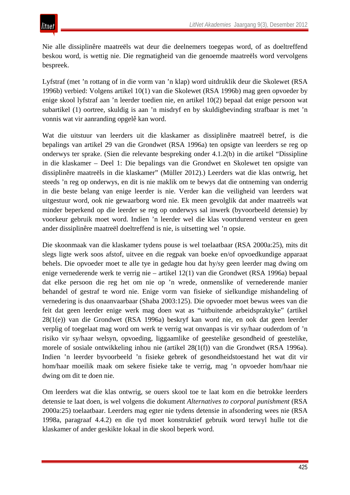Nie alle dissiplinêre maatreëls wat deur die deelnemers toegepas word, of as doeltreffend beskou word, is wettig nie. Die regmatigheid van die genoemde maatreëls word vervolgens bespreek.

Lyfstraf (met 'n rottang of in die vorm van 'n klap) word uitdruklik deur die Skolewet (RSA 1996b) verbied: Volgens artikel 10(1) van die Skolewet (RSA 1996b) mag geen opvoeder by enige skool lyfstraf aan 'n leerder toedien nie, en artikel 10(2) bepaal dat enige persoon wat subartikel (1) oortree, skuldig is aan 'n misdryf en by skuldigbevinding strafbaar is met 'n vonnis wat vir aanranding opgelê kan word.

Wat die uitstuur van leerders uit die klaskamer as dissiplinêre maatreël betref, is die bepalings van artikel 29 van die Grondwet (RSA 1996a) ten opsigte van leerders se reg op onderwys ter sprake. (Sien die relevante bespreking onder 4.1.2(b) in die artikel "Dissipline in die klaskamer – Deel 1: Die bepalings van die Grondwet en Skolewet ten opsigte van dissiplinêre maatreëls in die klaskamer" (Müller 2012).) Leerders wat die klas ontwrig, het steeds 'n reg op onderwys, en dit is nie maklik om te bewys dat die ontneming van onderrig in die beste belang van enige leerder is nie. Verder kan die veiligheid van leerders wat uitgestuur word, ook nie gewaarborg word nie. Ek meen gevolglik dat ander maatreëls wat minder beperkend op die leerder se reg op onderwys sal inwerk (byvoorbeeld detensie) by voorkeur gebruik moet word. Indien 'n leerder wel die klas voortdurend versteur en geen ander dissiplinêre maatreël doeltreffend is nie, is uitsetting wel 'n opsie.

Die skoonmaak van die klaskamer tydens pouse is wel toelaatbaar (RSA 2000a:25), mits dit slegs ligte werk soos afstof, uitvee en die regpak van boeke en/of opvoedkundige apparaat behels. Die opvoeder moet te alle tye in gedagte hou dat hy/sy geen leerder mag dwing om enige vernederende werk te verrig nie – artikel 12(1) van die Grondwet (RSA 1996a) bepaal dat elke persoon die reg het om nie op 'n wrede, onmenslike of vernederende manier behandel of gestraf te word nie. Enige vorm van fisieke of sielkundige mishandeling of vernedering is dus onaanvaarbaar (Shaba 2003:125). Die opvoeder moet bewus wees van die feit dat geen leerder enige werk mag doen wat as "uitbuitende arbeidspraktyke" (artikel 28(1(e)) van die Grondwet (RSA 1996a) beskryf kan word nie, en ook dat geen leerder verplig of toegelaat mag word om werk te verrig wat onvanpas is vir sy/haar ouderdom of 'n risiko vir sy/haar welsyn, opvoeding, liggaamlike of geestelike gesondheid of geestelike, morele of sosiale ontwikkeling inhou nie (artikel 28(1(f)) van die Grondwet (RSA 1996a). Indien 'n leerder byvoorbeeld 'n fisieke gebrek of gesondheidstoestand het wat dit vir hom/haar moeilik maak om sekere fisieke take te verrig, mag 'n opvoeder hom/haar nie dwing om dit te doen nie.

Om leerders wat die klas ontwrig, se ouers skool toe te laat kom en die betrokke leerders detensie te laat doen, is wel volgens die dokument *Alternatives to corporal punishment* (RSA 2000a:25) toelaatbaar. Leerders mag egter nie tydens detensie in afsondering wees nie (RSA 1998a, paragraaf 4.4.2) en die tyd moet konstruktief gebruik word terwyl hulle tot die klaskamer of ander geskikte lokaal in die skool beperk word.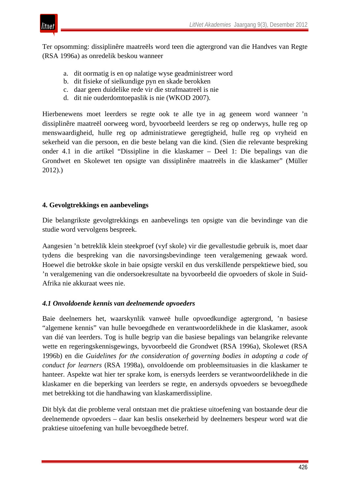

Ter opsomming: dissiplinêre maatreëls word teen die agtergrond van die Handves van Regte (RSA 1996a) as onredelik beskou wanneer

- a. dit oormatig is en op nalatige wyse geadministreer word
- b. dit fisieke of sielkundige pyn en skade berokken
- c. daar geen duidelike rede vir die strafmaatreël is nie
- d. dit nie ouderdomtoepaslik is nie (WKOD 2007).

Hierbenewens moet leerders se regte ook te alle tye in ag geneem word wanneer 'n dissiplinêre maatreël oorweeg word, byvoorbeeld leerders se reg op onderwys, hulle reg op menswaardigheid, hulle reg op administratiewe geregtigheid, hulle reg op vryheid en sekerheid van die persoon, en die beste belang van die kind. (Sien die relevante bespreking onder 4.1 in die artikel "Dissipline in die klaskamer – Deel 1: Die bepalings van die Grondwet en Skolewet ten opsigte van dissiplinêre maatreëls in die klaskamer" (Müller 2012).)

## **4. Gevolgtrekkings en aanbevelings**

Die belangrikste gevolgtrekkings en aanbevelings ten opsigte van die bevindinge van die studie word vervolgens bespreek.

Aangesien 'n betreklik klein steekproef (vyf skole) vir die gevallestudie gebruik is, moet daar tydens die bespreking van die navorsingsbevindinge teen veralgemening gewaak word. Hoewel die betrokke skole in baie opsigte verskil en dus verskillende perspektiewe bied, sou 'n veralgemening van die ondersoekresultate na byvoorbeeld die opvoeders of skole in Suid-Afrika nie akkuraat wees nie.

## *4.1 Onvoldoende kennis van deelnemende opvoeders*

Baie deelnemers het, waarskynlik vanweë hulle opvoedkundige agtergrond, 'n basiese "algemene kennis" van hulle bevoegdhede en verantwoordelikhede in die klaskamer, asook van dié van leerders. Tog is hulle begrip van die basiese bepalings van belangrike relevante wette en regeringskennisgewings, byvoorbeeld die Grondwet (RSA 1996a), Skolewet (RSA 1996b) en die *Guidelines for the consideration of governing bodies in adopting a code of conduct for learners* (RSA 1998a), onvoldoende om probleemsituasies in die klaskamer te hanteer. Aspekte wat hier ter sprake kom, is enersyds leerders se verantwoordelikhede in die klaskamer en die beperking van leerders se regte, en andersyds opvoeders se bevoegdhede met betrekking tot die handhawing van klaskamerdissipline.

Dit blyk dat die probleme veral ontstaan met die praktiese uitoefening van bostaande deur die deelnemende opvoeders – daar kan beslis onsekerheid by deelnemers bespeur word wat die praktiese uitoefening van hulle bevoegdhede betref.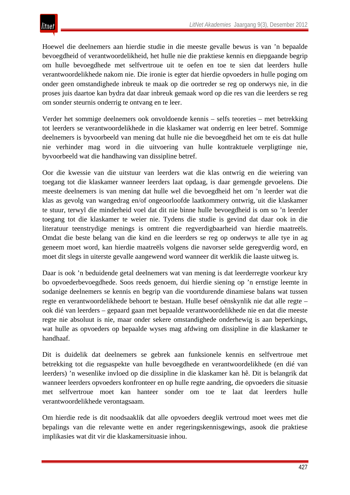Hoewel die deelnemers aan hierdie studie in die meeste gevalle bewus is van 'n bepaalde bevoegdheid of verantwoordelikheid, het hulle nie die praktiese kennis en diepgaande begrip om hulle bevoegdhede met selfvertroue uit te oefen en toe te sien dat leerders hulle verantwoordelikhede nakom nie. Die ironie is egter dat hierdie opvoeders in hulle poging om onder geen omstandighede inbreuk te maak op die oortreder se reg op onderwys nie, in die proses juis daartoe kan bydra dat daar inbreuk gemaak word op die res van die leerders se reg om sonder steurnis onderrig te ontvang en te leer.

Verder het sommige deelnemers ook onvoldoende kennis – selfs teoreties – met betrekking tot leerders se verantwoordelikhede in die klaskamer wat onderrig en leer betref. Sommige deelnemers is byvoorbeeld van mening dat hulle nie die bevoegdheid het om te eis dat hulle nie verhinder mag word in die uitvoering van hulle kontraktuele verpligtinge nie, byvoorbeeld wat die handhawing van dissipline betref.

Oor die kwessie van die uitstuur van leerders wat die klas ontwrig en die weiering van toegang tot die klaskamer wanneer leerders laat opdaag, is daar gemengde gevoelens. Die meeste deelnemers is van mening dat hulle wel die bevoegdheid het om 'n leerder wat die klas as gevolg van wangedrag en/of ongeoorloofde laatkommery ontwrig, uit die klaskamer te stuur, terwyl die minderheid voel dat dit nie binne hulle bevoegdheid is om so 'n leerder toegang tot die klaskamer te weier nie. Tydens die studie is gevind dat daar ook in die literatuur teenstrydige menings is omtrent die regverdigbaarheid van hierdie maatreëls. Omdat die beste belang van die kind en die leerders se reg op onderwys te alle tye in ag geneem moet word, kan hierdie maatreëls volgens die navorser selde geregverdig word, en moet dit slegs in uiterste gevalle aangewend word wanneer dit werklik die laaste uitweg is.

Daar is ook 'n beduidende getal deelnemers wat van mening is dat leerderregte voorkeur kry bo opvoederbevoegdhede. Soos reeds genoem, dui hierdie siening op 'n ernstige leemte in sodanige deelnemers se kennis en begrip van die voortdurende dinamiese balans wat tussen regte en verantwoordelikhede behoort te bestaan. Hulle besef oënskynlik nie dat alle regte – ook dié van leerders – gepaard gaan met bepaalde verantwoordelikhede nie en dat die meeste regte nie absoluut is nie, maar onder sekere omstandighede onderhewig is aan beperkings, wat hulle as opvoeders op bepaalde wyses mag afdwing om dissipline in die klaskamer te handhaaf.

Dit is duidelik dat deelnemers se gebrek aan funksionele kennis en selfvertroue met betrekking tot die regsaspekte van hulle bevoegdhede en verantwoordelikhede (en dié van leerders) 'n wesenlike invloed op die dissipline in die klaskamer kan hê. Dit is belangrik dat wanneer leerders opvoeders konfronteer en op hulle regte aandring, die opvoeders die situasie met selfvertroue moet kan hanteer sonder om toe te laat dat leerders hulle verantwoordelikhede verontagsaam.

Om hierdie rede is dit noodsaaklik dat alle opvoeders deeglik vertroud moet wees met die bepalings van die relevante wette en ander regeringskennisgewings, asook die praktiese implikasies wat dit vir die klaskamersituasie inhou.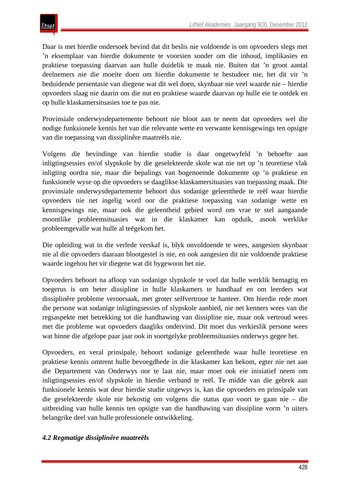Daar is met hierdie ondersoek bevind dat dit beslis nie voldoende is om opvoeders slegs met 'n eksemplaar van hierdie dokumente te voorsien sonder om die inhoud, implikasies en praktiese toepassing daarvan aan hulle duidelik te maak nie. Buiten dat 'n groot aantal deelnemers nie die moeite doen om hierdie dokumente te bestudeer nie, het dit vir 'n beduidende persentasie van diegene wat dit wel doen, skynbaar nie veel waarde nie – hierdie opvoeders slaag nie daarin om die nut en praktiese waarde daarvan op hulle eie te ontdek en op hulle klaskamersituasies toe te pas nie.

Provinsiale onderwysdepartemente behoort nie bloot aan te neem dat opvoeders wel die nodige funksionele kennis het van die relevante wette en verwante kennisgewings ten opsigte van die toepassing van dissiplinêre maatreëls nie.

Volgens die bevindinge van hierdie studie is daar ongetwyfeld 'n behoefte aan inligtingsessies en/of slypskole by die geselekteerde skole wat nie net op 'n teoretiese vlak inligting oordra nie, maar die bepalings van bogenoemde dokumente op 'n praktiese en funksionele wyse op die opvoeders se daaglikse klaskamersituasies van toepassing maak. Die provinsiale onderwysdepartemente behoort dus sodanige geleenthede te reël waar hierdie opvoeders nie net ingelig word oor die praktiese toepassing van sodanige wette en kennisgewings nie, maar ook die geleentheid gebied word om vrae te stel aangaande moontlike probleemsituasies wat in die klaskamer kan opduik, asook werklike probleemgevalle wat hulle al teëgekom het.

Die opleiding wat in die verlede verskaf is, blyk onvoldoende te wees, aangesien skynbaar nie al die opvoeders daaraan blootgestel is nie, en ook aangesien dit nie voldoende praktiese waarde ingehou het vir diegene wat dit bygewoon het nie.

Opvoeders behoort na afloop van sodanige slypskole te voel dat hulle werklik bemagtig en toegerus is om beter dissipline in hulle klaskamers te handhaaf en om leerders wat dissiplinêre probleme veroorsaak, met groter selfvertroue te hanteer. Om hierdie rede moet die persone wat sodanige inligtingsessies of slypskole aanbied, nie net kenners wees van die regsaspekte met betrekking tot die handhawing van dissipline nie, maar ook vertroud wees met die probleme wat opvoeders daagliks ondervind. Dit moet dus verkieslik persone wees wat binne die afgelope paar jaar ook in soortgelyke probleemsituasies onderwys gegee het.

Opvoeders, en veral prinsipale, behoort sodanige geleenthede waar hulle teoretiese en praktiese kennis omtrent hulle bevoegdhede in die klaskamer kan bekom, egter nie net aan die Departement van Onderwys oor te laat nie, maar moet ook eie inisiatief neem om inligtingsessies en/of slypskole in hierdie verband te reël. Te midde van die gebrek aan funksionele kennis wat deur hierdie studie uitgewys is, kan die opvoeders en prinsipale van die geselekteerde skole nie bekostig om volgens die status quo voort te gaan nie – die uitbreiding van hulle kennis ten opsigte van die handhawing van dissipline vorm 'n uiters belangrike deel van hulle professionele ontwikkeling.

## *4.2 Regmatige dissiplinêre maatreëls*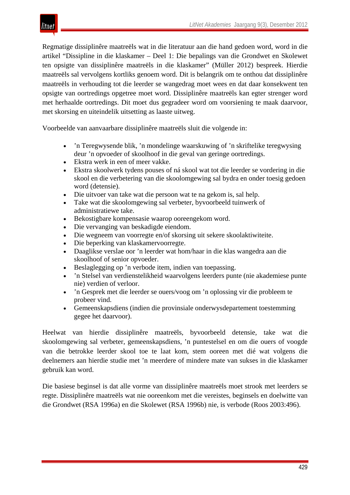

Regmatige dissiplinêre maatreëls wat in die literatuur aan die hand gedoen word, word in die artikel "Dissipline in die klaskamer – Deel 1: Die bepalings van die Grondwet en Skolewet ten opsigte van dissiplinêre maatreëls in die klaskamer" (Müller 2012) bespreek. Hierdie maatreëls sal vervolgens kortliks genoem word. Dit is belangrik om te onthou dat dissiplinêre maatreëls in verhouding tot die leerder se wangedrag moet wees en dat daar konsekwent ten opsigte van oortredings opgetree moet word. Dissiplinêre maatreëls kan egter strenger word met herhaalde oortredings. Dit moet dus gegradeer word om voorsiening te maak daarvoor, met skorsing en uiteindelik uitsetting as laaste uitweg.

Voorbeelde van aanvaarbare dissiplinêre maatreëls sluit die volgende in:

- 'n Teregwysende blik, 'n mondelinge waarskuwing of 'n skriftelike teregwysing deur 'n opvoeder of skoolhoof in die geval van geringe oortredings.
- Ekstra werk in een of meer vakke.
- Ekstra skoolwerk tydens pouses of ná skool wat tot die leerder se vordering in die skool en die verbetering van die skoolomgewing sal bydra en onder toesig gedoen word (detensie).
- Die uitvoer van take wat die persoon wat te na gekom is, sal help.
- Take wat die skoolomgewing sal verbeter, byvoorbeeld tuinwerk of administratiewe take.
- Bekostigbare kompensasie waarop ooreengekom word.
- Die vervanging van beskadigde eiendom.
- Die wegneem van voorregte en/of skorsing uit sekere skoolaktiwiteite.
- Die beperking van klaskamervoorregte.
- Daaglikse verslae oor 'n leerder wat hom/haar in die klas wangedra aan die skoolhoof of senior opvoeder.
- Beslaglegging op 'n verbode item, indien van toepassing.
- 'n Stelsel van verdienstelikheid waarvolgens leerders punte (nie akademiese punte nie) verdien of verloor.
- 'n Gesprek met die leerder se ouers/voog om 'n oplossing vir die probleem te probeer vind.
- Gemeenskapsdiens (indien die provinsiale onderwysdepartement toestemming gegee het daarvoor).

Heelwat van hierdie dissiplinêre maatreëls, byvoorbeeld detensie, take wat die skoolomgewing sal verbeter, gemeenskapsdiens, 'n puntestelsel en om die ouers of voogde van die betrokke leerder skool toe te laat kom, stem ooreen met dié wat volgens die deelnemers aan hierdie studie met 'n meerdere of mindere mate van sukses in die klaskamer gebruik kan word.

Die basiese beginsel is dat alle vorme van dissiplinêre maatreëls moet strook met leerders se regte. Dissiplinêre maatreëls wat nie ooreenkom met die vereistes, beginsels en doelwitte van die Grondwet (RSA 1996a) en die Skolewet (RSA 1996b) nie, is verbode (Roos 2003:496).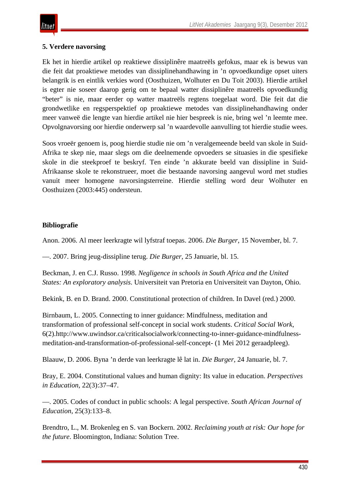# **5. Verdere navorsing**

Ek het in hierdie artikel op reaktiewe dissiplinêre maatreëls gefokus, maar ek is bewus van die feit dat proaktiewe metodes van dissiplinehandhawing in 'n opvoedkundige opset uiters belangrik is en eintlik verkies word (Oosthuizen, Wolhuter en Du Toit 2003). Hierdie artikel is egter nie soseer daarop gerig om te bepaal watter dissiplinêre maatreëls opvoedkundig "beter" is nie, maar eerder op watter maatreëls regtens toegelaat word. Die feit dat die grondwetlike en regsperspektief op proaktiewe metodes van dissiplinehandhawing onder meer vanweë die lengte van hierdie artikel nie hier bespreek is nie, bring wel 'n leemte mee. Opvolgnavorsing oor hierdie onderwerp sal 'n waardevolle aanvulling tot hierdie studie wees.

Soos vroeër genoem is, poog hierdie studie nie om 'n veralgemeende beeld van skole in Suid-Afrika te skep nie, maar slegs om die deelnemende opvoeders se situasies in die spesifieke skole in die steekproef te beskryf. Ten einde 'n akkurate beeld van dissipline in Suid-Afrikaanse skole te rekonstrueer, moet die bestaande navorsing aangevul word met studies vanuit meer homogene navorsingsterreine. Hierdie stelling word deur Wolhuter en Oosthuizen (2003:445) ondersteun.

# **Bibliografie**

Anon. 2006. Al meer leerkragte wil lyfstraf toepas. 2006. *Die Burger*, 15 November, bl. 7.

—. 2007. Bring jeug-dissipline terug. *Die Burger*, 25 Januarie, bl. 15.

Beckman, J. en C.J. Russo. 1998. *Negligence in schools in South Africa and the United States: An exploratory analysis*. Universiteit van Pretoria en Universiteit van Dayton, Ohio.

Bekink, B. en D. Brand. 2000. Constitutional protection of children. In Davel (red.) 2000.

Birnbaum, L. 2005. Connecting to inner guidance: Mindfulness, meditation and transformation of professional self-concept in social work students. *Critical Social Work*, 6(2).http://www.uwindsor.ca/criticalsocialwork/connecting-to-inner-guidance-mindfulnessmeditation-and-transformation-of-professional-self-concept- (1 Mei 2012 geraadpleeg).

Blaauw, D. 2006. Byna 'n derde van leerkragte lê lat in. *Die Burger*, 24 Januarie, bl. 7.

Bray, E. 2004. Constitutional values and human dignity: Its value in education. *Perspectives in Education*, 22(3):37–47.

—. 2005. Codes of conduct in public schools: A legal perspective. *South African Journal of Education*, 25(3):133–8.

Brendtro, L., M. Brokenleg en S. van Bockern. 2002. *Reclaiming youth at risk: Our hope for the future*. Bloomington, Indiana: Solution Tree.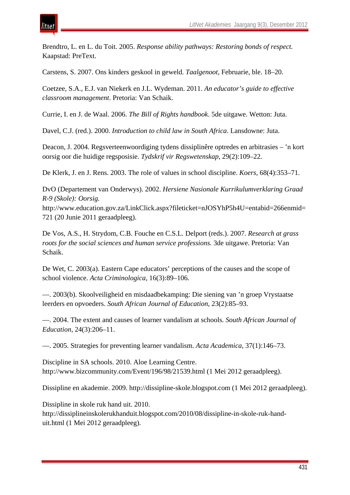Brendtro, L. en L. du Toit. 2005. *Response ability pathways: Restoring bonds of respect.*  Kaapstad: PreText.

Carstens, S. 2007. Ons kinders geskool in geweld. *Taalgenoot*, Februarie, ble. 18–20.

Coetzee, S.A., E.J. van Niekerk en J.L. Wydeman. 2011. *An educator's guide to effective classroom management*. Pretoria: Van Schaik.

Currie, I. en J. de Waal. 2006. *The Bill of Rights handbook*. 5de uitgawe. Wetton: Juta.

Davel, C.J. (red.). 2000. *Introduction to child law in South Africa*. Lansdowne: Juta.

Deacon, J. 2004. Regsverteenwoordiging tydens dissiplinêre optredes en arbitrasies – 'n kort oorsig oor die huidige regsposisie. *Tydskrif vir Regswetenskap*, 29(2):109–22.

De Klerk, J. en J. Rens. 2003. The role of values in school discipline. *Koers*, 68(4):353–71.

DvO (Departement van Onderwys). 2002. *Hersiene Nasionale Kurrikulumverklaring Graad R-9 (Skole): Oorsig.* 

http://www.education.gov.za/LinkClick.aspx?fileticket=nJOSYhP5h4U=entabid=266enmid= 721 (20 Junie 2011 geraadpleeg).

De Vos, A.S., H. Strydom, C.B. Fouche en C.S.L. Delport (reds.). 2007. *Research at grass roots for the social sciences and human service professions.* 3de uitgawe. Pretoria: Van Schaik.

De Wet, C. 2003(a). Eastern Cape educators' perceptions of the causes and the scope of school violence. *Acta Criminologica*, 16(3):89–106.

—. 2003(b). Skoolveiligheid en misdaadbekamping: Die siening van 'n groep Vrystaatse leerders en opvoeders. *South African Journal of Education*, 23(2):85–93.

—. 2004. The extent and causes of learner vandalism at schools. *South African Journal of Education*, 24(3):206–11.

—. 2005. Strategies for preventing learner vandalism. *Acta Academica*, 37(1):146–73.

Discipline in SA schools. 2010. Aloe Learning Centre. http://www.bizcommunity.com/Event/196/98/21539.html (1 Mei 2012 geraadpleeg).

Dissipline en akademie. 2009. http://dissipline-skole.blogspot.com (1 Mei 2012 geraadpleeg).

Dissipline in skole ruk hand uit. 2010.

ıtnet

http://dissiplineinskolerukhanduit.blogspot.com/2010/08/dissipline-in-skole-ruk-handuit.html (1 Mei 2012 geraadpleeg).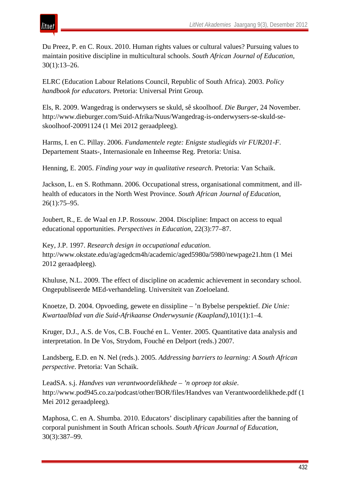Du Preez, P. en C. Roux. 2010. Human rights values or cultural values? Pursuing values to maintain positive discipline in multicultural schools. *South African Journal of Education*, 30(1):13–26.

ELRC (Education Labour Relations Council, Republic of South Africa). 2003. *Policy handbook for educators.* Pretoria: Universal Print Group*.*

Els, R. 2009. Wangedrag is onderwysers se skuld, sê skoolhoof. *Die Burger*, 24 November. http://www.dieburger.com/Suid-Afrika/Nuus/Wangedrag-is-onderwysers-se-skuld-seskoolhoof-20091124 (1 Mei 2012 geraadpleeg).

Harms, I. en C. Pillay. 2006. *Fundamentele regte: Enigste studiegids vir FUR201-F*. Departement Staats-, Internasionale en Inheemse Reg. Pretoria: Unisa.

Henning, E. 2005. *Finding your way in qualitative research*. Pretoria: Van Schaik.

Jackson, L. en S. Rothmann. 2006. Occupational stress, organisational commitment, and illhealth of educators in the North West Province. *South African Journal of Education*, 26(1):75–95.

Joubert, R., E. de Waal en J.P. Rossouw. 2004. Discipline: Impact on access to equal educational opportunities. *Perspectives in Education*, 22(3):77–87.

Key, J.P. 1997. *Research design in occupational education*. http://www.okstate.edu/ag/agedcm4h/academic/aged5980a/5980/newpage21.htm (1 Mei 2012 geraadpleeg).

Khuluse, N.L. 2009. The effect of discipline on academic achievement in secondary school. Ongepubliseerde MEd-verhandeling. Universiteit van Zoeloeland.

Knoetze, D. 2004. Opvoeding, gewete en dissipline – 'n Bybelse perspektief. *Die Unie: Kwartaalblad van die Suid-Afrikaanse Onderwysunie (Kaapland)*,101(1):1–4.

Kruger, D.J., A.S. de Vos, C.B. Fouché en L. Venter. 2005. Quantitative data analysis and interpretation. In De Vos, Strydom, Fouché en Delport (reds.) 2007.

Landsberg, E.D. en N. Nel (reds.). 2005. *Addressing barriers to learning: A South African perspective*. Pretoria: Van Schaik.

LeadSA. s.j. *Handves van verantwoordelikhede – 'n oproep tot aksie*. http://www.pod945.co.za/podcast/other/BOR/files/Handves van Verantwoordelikhede.pdf (1 Mei 2012 geraadpleeg).

Maphosa, C. en A. Shumba. 2010. Educators' disciplinary capabilities after the banning of corporal punishment in South African schools. *South African Journal of Education*, 30(3):387–99.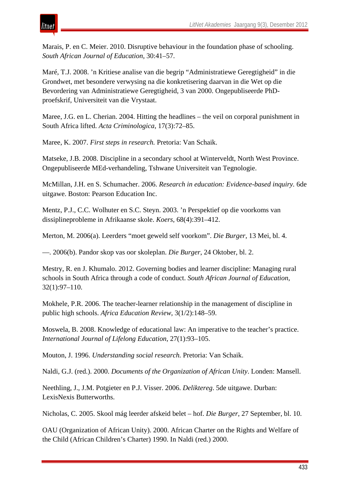Marais, P. en C. Meier. 2010. Disruptive behaviour in the foundation phase of schooling. *South African Journal of Education*, 30:41–57.

Maré, T.J. 2008. 'n Kritiese analise van die begrip "Administratiewe Geregtigheid" in die Grondwet, met besondere verwysing na die konkretisering daarvan in die Wet op die Bevordering van Administratiewe Geregtigheid, 3 van 2000. Ongepubliseerde PhDproefskrif, Universiteit van die Vrystaat.

Maree, J.G. en L. Cherian. 2004. Hitting the headlines – the veil on corporal punishment in South Africa lifted. *Acta Criminologica*, 17(3):72–85.

Maree, K. 2007. *First steps in research.* Pretoria: Van Schaik.

Matseke, J.B. 2008. Discipline in a secondary school at Winterveldt, North West Province. Ongepubliseerde MEd-verhandeling, Tshwane Universiteit van Tegnologie.

McMillan, J.H. en S. Schumacher. 2006. *Research in education: Evidence-based inquiry.* 6de uitgawe. Boston: Pearson Education Inc.

Mentz, P.J., C.C. Wolhuter en S.C. Steyn. 2003. 'n Perspektief op die voorkoms van dissiplineprobleme in Afrikaanse skole. *Koers*, 68(4):391–412.

Merton, M. 2006(a). Leerders "moet geweld self voorkom". *Die Burger*, 13 Mei, bl. 4.

—. 2006(b). Pandor skop vas oor skoleplan. *Die Burger*, 24 Oktober, bl. 2.

Mestry, R. en J. Khumalo. 2012. Governing bodies and learner discipline: Managing rural schools in South Africa through a code of conduct. *South African Journal of Education*, 32(1):97–110.

Mokhele, P.R. 2006. The teacher-learner relationship in the management of discipline in public high schools. *Africa Education Review*, 3(1/2):148–59.

Moswela, B. 2008. Knowledge of educational law: An imperative to the teacher's practice. *International Journal of Lifelong Education*, 27(1):93–105.

Mouton, J. 1996. *Understanding social research.* Pretoria: Van Schaik.

Naldi, G.J. (red.). 2000. *Documents of the Organization of African Unity*. Londen: Mansell.

Neethling, J., J.M. Potgieter en P.J. Visser. 2006. *Deliktereg*. 5de uitgawe. Durban: LexisNexis Butterworths.

Nicholas, C. 2005. Skool mág leerder afskeid belet – hof. *Die Burger*, 27 September, bl. 10.

OAU (Organization of African Unity). 2000. African Charter on the Rights and Welfare of the Child (African Children's Charter) 1990. In Naldi (red.) 2000.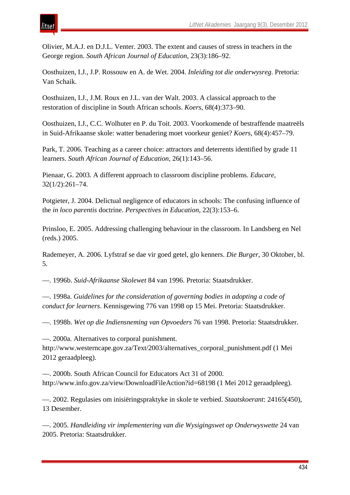Olivier, M.A.J. en D.J.L. Venter. 2003. The extent and causes of stress in teachers in the George region. *South African Journal of Education*, 23(3):186–92.

Oosthuizen, I.J., J.P. Rossouw en A. de Wet. 2004. *Inleiding tot die onderwysreg*. Pretoria: Van Schaik.

Oosthuizen, I.J., J.M. Roux en J.L. van der Walt. 2003. A classical approach to the restoration of discipline in South African schools. *Koers*, 68(4):373–90.

Oosthuizen, I.J., C.C. Wolhuter en P. du Toit. 2003. Voorkomende of bestraffende maatreëls in Suid-Afrikaanse skole: watter benadering moet voorkeur geniet? *Koers*, 68(4):457–79.

Park, T. 2006. Teaching as a career choice: attractors and deterrents identified by grade 11 learners. *South African Journal of Education*, 26(1):143–56.

Pienaar, G. 2003. A different approach to classroom discipline problems. *Educare*, 32(1/2):261–74.

Potgieter, J. 2004. Delictual negligence of educators in schools: The confusing influence of the *in loco parentis* doctrine. *Perspectives in Education*, 22(3):153–6.

Prinsloo, E. 2005. Addressing challenging behaviour in the classroom. In Landsberg en Nel (reds.) 2005.

Rademeyer, A. 2006. Lyfstraf se dae vir goed getel, glo kenners. *Die Burger*, 30 Oktober, bl. 5.

—. 1996b. *Suid-Afrikaanse Skolewet* 84 van 1996. Pretoria: Staatsdrukker.

—. 1998a. *Guidelines for the consideration of governing bodies in adopting a code of conduct for learners*. Kennisgewing 776 van 1998 op 15 Mei. Pretoria: Staatsdrukker.

—. 1998b. *Wet op die Indiensneming van Opvoeders* 76 van 1998. Pretoria: Staatsdrukker.

—. 2000a. Alternatives to corporal punishment.

http://www.westerncape.gov.za/Text/2003/alternatives\_corporal\_punishment.pdf (1 Mei 2012 geraadpleeg).

—. 2000b. South African Council for Educators Act 31 of 2000. http://www.info.gov.za/view/DownloadFileAction?id=68198 (1 Mei 2012 geraadpleeg).

—. 2002. Regulasies om inisiëringspraktyke in skole te verbied. *Staatskoerant*: 24165(450), 13 Desember.

—. 2005. *Handleiding vir implementering van die Wysigingswet op Onderwyswette* 24 van 2005. Pretoria: Staatsdrukker.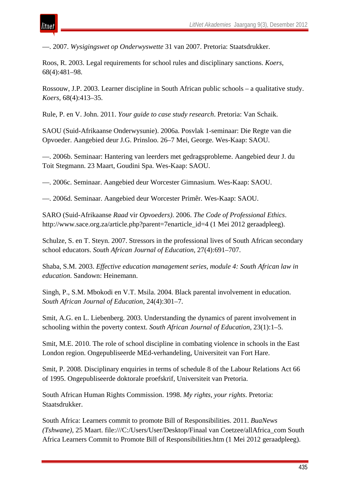—. 2007. *Wysigingswet op Onderwyswette* 31 van 2007. Pretoria: Staatsdrukker.

Roos, R. 2003. Legal requirements for school rules and disciplinary sanctions. *Koers*, 68(4):481–98.

Rossouw, J.P. 2003. Learner discipline in South African public schools – a qualitative study. *Koers*, 68(4):413–35.

Rule, P. en V. John. 2011. *Your guide to case study research*. Pretoria: Van Schaik.

SAOU (Suid-Afrikaanse Onderwysunie). 2006a. Posvlak 1-seminaar: Die Regte van die Opvoeder. Aangebied deur J.G. Prinsloo. 26–7 Mei, George. Wes-Kaap: SAOU.

—. 2006b. Seminaar: Hantering van leerders met gedragsprobleme. Aangebied deur J. du Toit Stegmann. 23 Maart, Goudini Spa. Wes-Kaap: SAOU.

—. 2006c. Seminaar. Aangebied deur Worcester Gimnasium. Wes-Kaap: SAOU.

—. 2006d. Seminaar. Aangebied deur Worcester Primêr. Wes-Kaap: SAOU.

SARO (Suid-Afrikaanse *Raad* vir *Opvoeders)*. 2006. *The Code of Professional Ethics*. http://www.sace.org.za/article.php?parent=7enarticle\_id=4 (1 Mei 2012 geraadpleeg).

Schulze, S. en T. Steyn. 2007. Stressors in the professional lives of South African secondary school educators. *South African Journal of Education*, 27(4):691–707.

Shaba, S.M. 2003. *Effective education management series, module 4: South African law in education*. Sandown: Heinemann.

Singh, P., S.M. Mbokodi en V.T. Msila. 2004. Black parental involvement in education. *South African Journal of Education*, 24(4):301–7.

Smit, A.G. en L. Liebenberg. 2003. Understanding the dynamics of parent involvement in schooling within the poverty context. *South African Journal of Education*, 23(1):1–5.

Smit, M.E. 2010. The role of school discipline in combating violence in schools in the East London region. Ongepubliseerde MEd-verhandeling, Universiteit van Fort Hare.

Smit, P. 2008. Disciplinary enquiries in terms of schedule 8 of the Labour Relations Act 66 of 1995. Ongepubliseerde doktorale proefskrif, Universiteit van Pretoria.

South African Human Rights Commission. 1998. *My rights, your rights*. Pretoria: Staatsdrukker.

South Africa: Learners commit to promote Bill of Responsibilities. 2011. *BuaNews (Tshwane)*, 25 Maart. file:///C:/Users/User/Desktop/Finaal van Coetzee/allAfrica\_com South Africa Learners Commit to Promote Bill of Responsibilities.htm (1 Mei 2012 geraadpleeg).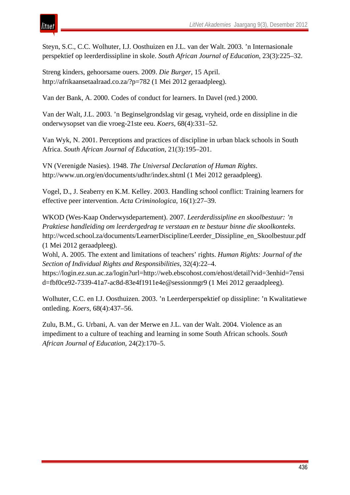itnet

Steyn, S.C., C.C. Wolhuter, I.J. Oosthuizen en J.L. van der Walt. 2003. 'n Internasionale perspektief op leerderdissipline in skole. *South African Journal of Education*, 23(3):225–32.

Streng kinders, gehoorsame ouers. 2009. *Die Burger*, 15 April. http://afrikaansetaalraad.co.za/?p=782 (1 Mei 2012 geraadpleeg).

Van der Bank, A. 2000. Codes of conduct for learners. In Davel (red.) 2000.

Van der Walt, J.L. 2003. 'n Beginselgrondslag vir gesag, vryheid, orde en dissipline in die onderwysopset van die vroeg-21ste eeu. *Koers*, 68(4):331–52.

Van Wyk, N. 2001. Perceptions and practices of discipline in urban black schools in South Africa. *South African Journal of Education*, 21(3):195–201.

VN (Verenigde Nasies). 1948. *The Universal Declaration of Human Rights*. http://www.un.org/en/documents/udhr/index.shtml (1 Mei 2012 geraadpleeg).

Vogel, D., J. Seaberry en K.M. Kelley. 2003. Handling school conflict: Training learners for effective peer intervention. *Acta Criminologica*, 16(1):27–39.

WKOD (Wes-Kaap Onderwysdepartement). 2007. *Leerderdissipline en skoolbestuur: 'n Praktiese handleiding om leerdergedrag te verstaan en te bestuur binne die skoolkonteks*. http://wced.school.za/documents/LearnerDiscipline/Leerder\_Dissipline\_en\_Skoolbestuur.pdf (1 Mei 2012 geraadpleeg).

Wohl, A. 2005. The extent and limitations of teachers' rights. *Human Rights: Journal of the Section of Individual Rights and Responsibilities*, 32(4):22–4.

https://login.ez.sun.ac.za/login?url=http://web.ebscohost.com/ehost/detail?vid=3enhid=7ensi d=fbf0ce92-7339-41a7-ac8d-83e4f1911e4e@sessionmgr9 (1 Mei 2012 geraadpleeg).

Wolhuter, C.C. en I.J. Oosthuizen. 2003. 'n Leerderperspektief op dissipline: 'n Kwalitatiewe ontleding. *Koers*, 68(4):437–56.

Zulu, B.M., G. Urbani, A. van der Merwe en J.L. van der Walt. 2004. Violence as an impediment to a culture of teaching and learning in some South African schools. *South African Journal of Education*, 24(2):170–5.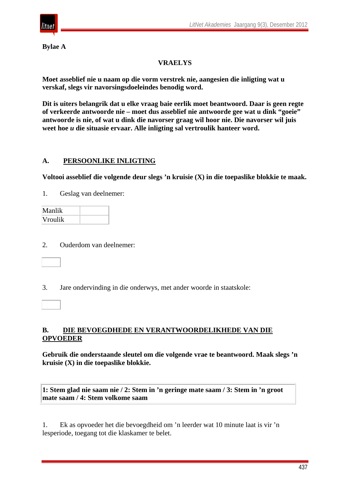

**Bylae A**

# **VRAELYS**

**Moet asseblief nie u naam op die vorm verstrek nie, aangesien die inligting wat u verskaf, slegs vir navorsingsdoeleindes benodig word.** 

**Dit is uiters belangrik dat u elke vraag baie eerlik moet beantwoord. Daar is geen regte of verkeerde antwoorde nie – moet dus asseblief nie antwoorde gee wat u dink "goeie" antwoorde is nie, of wat u dink die navorser graag wil hoor nie. Die navorser wil juis weet hoe** *u* **die situasie ervaar. Alle inligting sal vertroulik hanteer word.** 

# **A. PERSOONLIKE INLIGTING**

**Voltooi asseblief die volgende deur slegs 'n kruisie (X) in die toepaslike blokkie te maak.** 

1. Geslag van deelnemer:

| Manlik         |  |
|----------------|--|
| <b>Vroulik</b> |  |

2. Ouderdom van deelnemer:

3. Jare ondervinding in die onderwys, met ander woorde in staatskole:

## **B. DIE BEVOEGDHEDE EN VERANTWOORDELIKHEDE VAN DIE OPVOEDER**

**Gebruik die onderstaande sleutel om die volgende vrae te beantwoord. Maak slegs 'n kruisie (X) in die toepaslike blokkie.** 

**1: Stem glad nie saam nie / 2: Stem in 'n geringe mate saam / 3: Stem in 'n groot mate saam / 4: Stem volkome saam**

1. Ek as opvoeder het die bevoegdheid om 'n leerder wat 10 minute laat is vir 'n lesperiode, toegang tot die klaskamer te belet.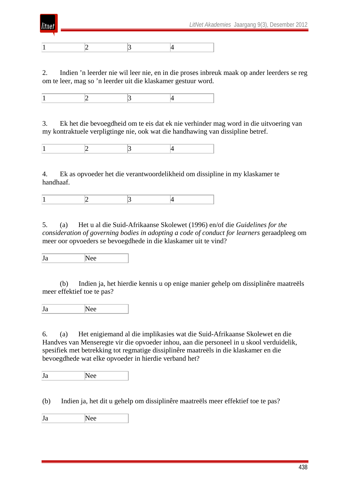

1  $\vert 2 \vert 3 \vert 4$ 

itnei

2. Indien 'n leerder nie wil leer nie, en in die proses inbreuk maak op ander leerders se reg om te leer, mag so 'n leerder uit die klaskamer gestuur word.

1  $\vert 2 \vert 3 \vert 4$ 

3. Ek het die bevoegdheid om te eis dat ek nie verhinder mag word in die uitvoering van my kontraktuele verpligtinge nie, ook wat die handhawing van dissipline betref.

1  $\vert 2 \vert 3 \vert 4$ 

4. Ek as opvoeder het die verantwoordelikheid om dissipline in my klaskamer te handhaaf.

1  $\vert 2 \vert 3 \vert 4$ 

5. (a) Het u al die Suid-Afrikaanse Skolewet (1996) en/of die *Guidelines for the consideration of governing bodies in adopting a code of conduct for learners* geraadpleeg om meer oor opvoeders se bevoegdhede in die klaskamer uit te vind?

Ja Nee

 (b) Indien ja, het hierdie kennis u op enige manier gehelp om dissiplinêre maatreëls meer effektief toe te pas?

Ja Nee

6. (a) Het enigiemand al die implikasies wat die Suid-Afrikaanse Skolewet en die Handves van Menseregte vir die opvoeder inhou, aan die personeel in u skool verduidelik, spesifiek met betrekking tot regmatige dissiplinêre maatreëls in die klaskamer en die bevoegdhede wat elke opvoeder in hierdie verband het?

Ja Nee

(b) Indien ja, het dit u gehelp om dissiplinêre maatreëls meer effektief toe te pas?

Ja Nee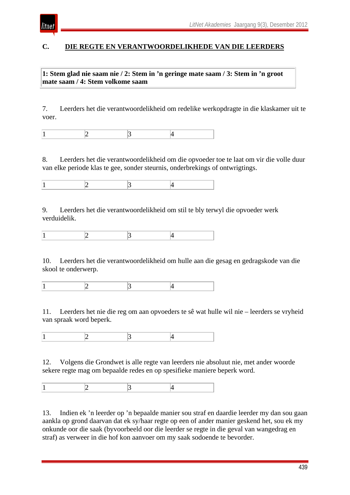

# **C. DIE REGTE EN VERANTWOORDELIKHEDE VAN DIE LEERDERS**

**1: Stem glad nie saam nie / 2: Stem in 'n geringe mate saam / 3: Stem in 'n groot mate saam / 4: Stem volkome saam**

7. Leerders het die verantwoordelikheid om redelike werkopdragte in die klaskamer uit te voer.

8. Leerders het die verantwoordelikheid om die opvoeder toe te laat om vir die volle duur van elke periode klas te gee, sonder steurnis, onderbrekings of ontwrigtings.

9. Leerders het die verantwoordelikheid om stil te bly terwyl die opvoeder werk verduidelik.

1  $\vert 2 \vert 3 \vert 4$ 

10. Leerders het die verantwoordelikheid om hulle aan die gesag en gedragskode van die skool te onderwerp.

1  $\vert 2 \vert 3 \vert 4$ 

11. Leerders het nie die reg om aan opvoeders te sê wat hulle wil nie – leerders se vryheid van spraak word beperk.

1  $\vert 2 \vert 3 \vert 4$ 

12. Volgens die Grondwet is alle regte van leerders nie absoluut nie, met ander woorde sekere regte mag om bepaalde redes en op spesifieke maniere beperk word.

1  $\vert 2 \vert 3 \vert 4$ 

13. Indien ek 'n leerder op 'n bepaalde manier sou straf en daardie leerder my dan sou gaan aankla op grond daarvan dat ek sy/haar regte op een of ander manier geskend het, sou ek my onkunde oor die saak (byvoorbeeld oor die leerder se regte in die geval van wangedrag en straf) as verweer in die hof kon aanvoer om my saak sodoende te bevorder.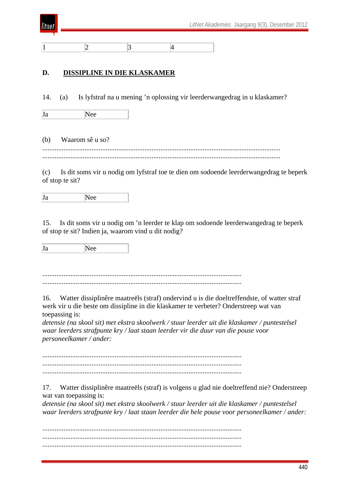

1  $\vert 2 \vert 3 \vert 4$ 

## **D. DISSIPLINE IN DIE KLASKAMER**

14. (a) Is lyfstraf na u mening 'n oplossing vir leerderwangedrag in u klaskamer?

Ja Nee

(b) Waarom sê u so? ....................................................................................................................................... .......................................................................................................................................

(c) Is dit soms vir u nodig om lyfstraf toe te dien om sodoende leerderwangedrag te beperk of stop te sit?

Ja Nee

15. Is dit soms vir u nodig om 'n leerder te klap om sodoende leerderwangedrag te beperk of stop te sit? Indien ja, waarom vind u dit nodig?

Ja Nee

................................................................................................................. .................................................................................................................

16. Watter dissiplinêre maatreëls (straf) ondervind u is die doeltreffendste, of watter straf werk vir u die beste om dissipline in die klaskamer te verbeter? Onderstreep wat van toepassing is:

*detensie (na skool sit) met ekstra skoolwerk / stuur leerder uit die klaskamer / puntestelsel waar leerders strafpunte kry / laat staan leerder vir die duur van die pouse voor personeelkamer / ander:*

................................................................................................................. ................................................................................................................. .................................................................................................................

17. Watter dissiplinêre maatreëls (straf) is volgens u glad nie doeltreffend nie? Onderstreep wat van toepassing is:

*detensie (na skool sit) met ekstra skoolwerk / stuur leerder uit die klaskamer / puntestelsel waar leerders strafpunte kry / laat staan leerder die hele pouse voor personeelkamer / ander:*

................................................................................................................. ................................................................................................................. .................................................................................................................